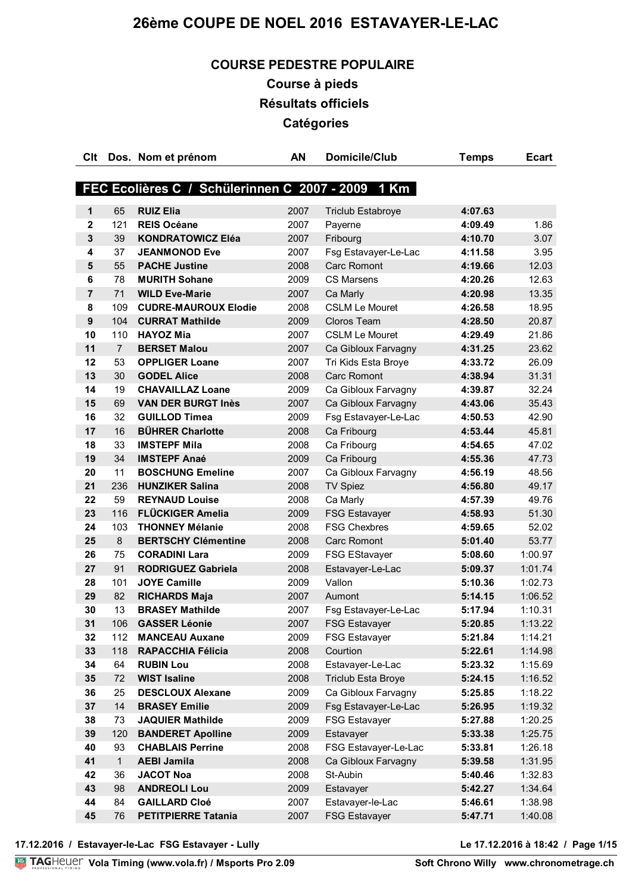## **COURSE PEDESTRE POPULAIRE**

**Course à pieds Résultats officiels Catégories**

| Clt              |                | Dos. Nom et prénom                                | <b>AN</b> | <b>Domicile/Club</b>      | <b>Temps</b> | <b>Ecart</b> |
|------------------|----------------|---------------------------------------------------|-----------|---------------------------|--------------|--------------|
|                  |                |                                                   |           |                           |              |              |
|                  |                | FEC Ecolières C / Schülerinnen C 2007 - 2009 1 Km |           |                           |              |              |
| 1                | 65             | <b>RUIZ Elia</b>                                  | 2007      | <b>Triclub Estabroye</b>  | 4:07.63      |              |
| $\mathbf{2}$     | 121            | <b>REIS Océane</b>                                | 2007      | Payerne                   | 4:09.49      | 1.86         |
| $\mathbf{3}$     | 39             | <b>KONDRATOWICZ Eléa</b>                          | 2007      | Fribourg                  | 4:10.70      | 3.07         |
| 4                | 37             | <b>JEANMONOD Eve</b>                              | 2007      | Fsg Estavayer-Le-Lac      | 4:11.58      | 3.95         |
| 5                | 55             | <b>PACHE Justine</b>                              | 2008      | <b>Carc Romont</b>        | 4:19.66      | 12.03        |
| 6                | 78             | <b>MURITH Sohane</b>                              | 2009      | <b>CS Marsens</b>         | 4:20.26      | 12.63        |
| $\overline{7}$   | 71             | <b>WILD Eve-Marie</b>                             | 2007      | Ca Marly                  | 4:20.98      | 13.35        |
| 8                | 109            | <b>CUDRE-MAUROUX Elodie</b>                       | 2008      | <b>CSLM Le Mouret</b>     | 4:26.58      | 18.95        |
| $\boldsymbol{9}$ | 104            | <b>CURRAT Mathilde</b>                            | 2009      | Cloros Team               | 4:28.50      | 20.87        |
| 10               | 110            | <b>HAYOZ Mia</b>                                  | 2007      | <b>CSLM Le Mouret</b>     | 4:29.49      | 21.86        |
| 11               | $\overline{7}$ | <b>BERSET Malou</b>                               | 2007      | Ca Gibloux Farvagny       | 4:31.25      | 23.62        |
| 12               | 53             | <b>OPPLIGER Loane</b>                             | 2007      | Tri Kids Esta Broye       | 4:33.72      | 26.09        |
| 13               | 30             | <b>GODEL Alice</b>                                | 2008      | <b>Carc Romont</b>        | 4:38.94      | 31.31        |
| 14               | 19             | <b>CHAVAILLAZ Loane</b>                           | 2009      | Ca Gibloux Farvagny       | 4:39.87      | 32.24        |
| 15               | 69             | <b>VAN DER BURGT Inès</b>                         | 2007      | Ca Gibloux Farvagny       | 4:43.06      | 35.43        |
| 16               | 32             | <b>GUILLOD Timea</b>                              | 2009      | Fsg Estavayer-Le-Lac      | 4:50.53      | 42.90        |
| 17               | 16             | <b>BÜHRER Charlotte</b>                           | 2008      | Ca Fribourg               | 4:53.44      | 45.81        |
| 18               | 33             | <b>IMSTEPF Mila</b>                               | 2008      | Ca Fribourg               | 4:54.65      | 47.02        |
| 19               | 34             | <b>IMSTEPF Anaé</b>                               | 2009      | Ca Fribourg               | 4:55.36      | 47.73        |
| 20               | 11             | <b>BOSCHUNG Emeline</b>                           | 2007      | Ca Gibloux Farvagny       | 4:56.19      | 48.56        |
| 21               | 236            | <b>HUNZIKER Salina</b>                            | 2008      | <b>TV Spiez</b>           | 4:56.80      | 49.17        |
| 22               | 59             | <b>REYNAUD Louise</b>                             | 2008      | Ca Marly                  | 4:57.39      | 49.76        |
| 23               | 116            | <b>FLÜCKIGER Amelia</b>                           | 2009      | <b>FSG Estavayer</b>      | 4:58.93      | 51.30        |
| 24               | 103            | <b>THONNEY Mélanie</b>                            | 2008      | <b>FSG Chexbres</b>       | 4:59.65      | 52.02        |
| 25               | 8              | <b>BERTSCHY Clémentine</b>                        | 2008      | <b>Carc Romont</b>        | 5:01.40      | 53.77        |
| 26               | 75             | <b>CORADINI Lara</b>                              | 2009      | <b>FSG EStavayer</b>      | 5:08.60      | 1:00.97      |
| 27               | 91             | <b>RODRIGUEZ Gabriela</b>                         | 2008      | Estavayer-Le-Lac          | 5:09.37      | 1:01.74      |
| 28               | 101            | <b>JOYE Camille</b>                               | 2009      | Vallon                    | 5:10.36      | 1:02.73      |
| 29               | 82             | <b>RICHARDS Maja</b>                              | 2007      | Aumont                    | 5:14.15      | 1:06.52      |
| 30               | 13             | <b>BRASEY Mathilde</b>                            | 2007      | Fsg Estavayer-Le-Lac      | 5:17.94      | 1:10.31      |
| 31               | 106            | <b>GASSER Léonie</b>                              | 2007      | <b>FSG Estavayer</b>      | 5:20.85      | 1:13.22      |
| 32               | 112            | <b>MANCEAU Auxane</b>                             | 2009      | <b>FSG Estavayer</b>      | 5:21.84      | 1:14.21      |
| 33               | 118            | <b>RAPACCHIA Félicia</b>                          | 2008      | Courtion                  | 5:22.61      | 1:14.98      |
| 34               | 64             | <b>RUBIN Lou</b>                                  | 2008      | Estavayer-Le-Lac          | 5:23.32      | 1:15.69      |
| 35               | 72             | <b>WIST Isaline</b>                               | 2008      | <b>Triclub Esta Broye</b> | 5:24.15      | 1:16.52      |
| 36               | 25             | <b>DESCLOUX Alexane</b>                           | 2009      | Ca Gibloux Farvagny       | 5:25.85      | 1:18.22      |
| 37               | 14             | <b>BRASEY Emilie</b>                              | 2009      | Fsg Estavayer-Le-Lac      | 5:26.95      | 1:19.32      |
| 38               | 73             | <b>JAQUIER Mathilde</b>                           | 2009      | <b>FSG Estavayer</b>      | 5:27.88      | 1:20.25      |
| 39               | 120            | <b>BANDERET Apolline</b>                          | 2009      | Estavayer                 | 5:33.38      | 1:25.75      |
| 40               | 93             | <b>CHABLAIS Perrine</b>                           | 2008      | FSG Estavayer-Le-Lac      | 5:33.81      | 1:26.18      |
| 41               | $\mathbf{1}$   | <b>AEBI Jamila</b>                                | 2008      | Ca Gibloux Farvagny       | 5:39.58      | 1:31.95      |
| 42               | 36             | <b>JACOT Noa</b>                                  | 2008      | St-Aubin                  | 5:40.46      | 1:32.83      |
| 43<br>44         | 98             | <b>ANDREOLI Lou</b>                               | 2009      | Estavayer                 | 5:42.27      | 1:34.64      |
|                  | 84             | <b>GAILLARD Cloé</b>                              | 2007      | Estavayer-le-Lac          | 5:46.61      | 1:38.98      |
| 45               | 76             | <b>PETITPIERRE Tatania</b>                        | 2007      | <b>FSG Estavayer</b>      | 5:47.71      | 1:40.08      |

**17.12.2016 / Estavayer-le-Lac FSG Estavayer - Lully Le 17.12.2016 à 18:42 / Page 1/15**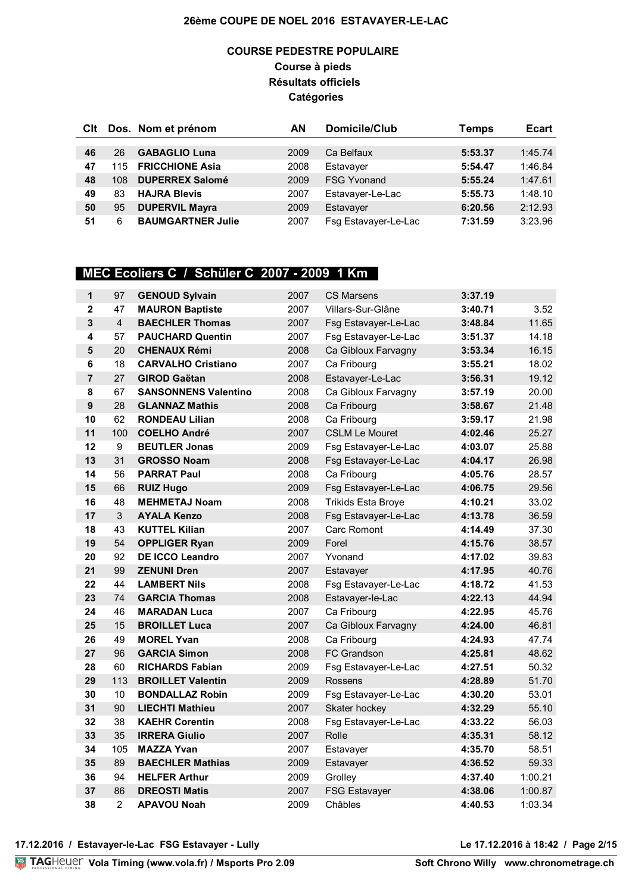### **COURSE PEDESTRE POPULAIRE Course à pieds Résultats officiels Catégories**

| CIt |     | Dos. Nom et prénom       | AΝ   | Domicile/Club        | <b>Temps</b> | <b>Ecart</b> |
|-----|-----|--------------------------|------|----------------------|--------------|--------------|
|     |     |                          |      |                      |              |              |
| 46  | 26  | <b>GABAGLIO Luna</b>     | 2009 | Ca Belfaux           | 5:53.37      | 1:45.74      |
| 47  | 115 | <b>FRICCHIONE Asia</b>   | 2008 | Estavayer            | 5:54.47      | 1:46.84      |
| 48  | 108 | <b>DUPERREX Salomé</b>   | 2009 | <b>FSG Yvonand</b>   | 5:55.24      | 1:47.61      |
| 49  | 83  | <b>HAJRA Blevis</b>      | 2007 | Estavayer-Le-Lac     | 5:55.73      | 1:48.10      |
| 50  | 95  | <b>DUPERVIL Mayra</b>    | 2009 | Estavayer            | 6:20.56      | 2:12.93      |
| 51  | 6   | <b>BAUMGARTNER Julie</b> | 2007 | Fsg Estavayer-Le-Lac | 7:31.59      | 3:23.96      |

### **MEC Ecoliers C / Schüler C 2007 - 2009 1 Km**

| $\mathbf{1}$   | 97             | <b>GENOUD Sylvain</b>       | 2007 | <b>CS Marsens</b>         | 3:37.19 |         |
|----------------|----------------|-----------------------------|------|---------------------------|---------|---------|
| $\mathbf 2$    | 47             | <b>MAURON Baptiste</b>      | 2007 | Villars-Sur-Glâne         | 3:40.71 | 3.52    |
| $\mathbf{3}$   | $\overline{4}$ | <b>BAECHLER Thomas</b>      | 2007 | Fsg Estavayer-Le-Lac      | 3:48.84 | 11.65   |
| 4              | 57             | <b>PAUCHARD Quentin</b>     | 2007 | Fsg Estavayer-Le-Lac      | 3:51.37 | 14.18   |
| 5              | 20             | <b>CHENAUX Rémi</b>         | 2008 | Ca Gibloux Farvagny       | 3:53.34 | 16.15   |
| 6              | 18             | <b>CARVALHO Cristiano</b>   | 2007 | Ca Fribourg               | 3:55.21 | 18.02   |
| $\overline{7}$ | 27             | <b>GIROD Gaëtan</b>         | 2008 | Estavayer-Le-Lac          | 3:56.31 | 19.12   |
| 8              | 67             | <b>SANSONNENS Valentino</b> | 2008 | Ca Gibloux Farvagny       | 3:57.19 | 20.00   |
| 9              | 28             | <b>GLANNAZ Mathis</b>       | 2008 | Ca Fribourg               | 3:58.67 | 21.48   |
| 10             | 62             | <b>RONDEAU Lilian</b>       | 2008 | Ca Fribourg               | 3:59.17 | 21.98   |
| 11             | 100            | <b>COELHO André</b>         | 2007 | <b>CSLM Le Mouret</b>     | 4:02.46 | 25.27   |
| 12             | 9              | <b>BEUTLER Jonas</b>        | 2009 | Fsg Estavayer-Le-Lac      | 4:03.07 | 25.88   |
| 13             | 31             | <b>GROSSO Noam</b>          | 2008 | Fsg Estavayer-Le-Lac      | 4:04.17 | 26.98   |
| 14             | 56             | <b>PARRAT Paul</b>          | 2008 | Ca Fribourg               | 4:05.76 | 28.57   |
| 15             | 66             | <b>RUIZ Hugo</b>            | 2009 | Fsg Estavayer-Le-Lac      | 4:06.75 | 29.56   |
| 16             | 48             | <b>MEHMETAJ Noam</b>        | 2008 | <b>Trikids Esta Broye</b> | 4:10.21 | 33.02   |
| 17             | $\mathbf{3}$   | <b>AYALA Kenzo</b>          | 2008 | Fsg Estavayer-Le-Lac      | 4:13.78 | 36.59   |
| 18             | 43             | <b>KUTTEL Kilian</b>        | 2007 | <b>Carc Romont</b>        | 4:14.49 | 37.30   |
| 19             | 54             | <b>OPPLIGER Ryan</b>        | 2009 | Forel                     | 4:15.76 | 38.57   |
| 20             | 92             | <b>DE ICCO Leandro</b>      | 2007 | Yvonand                   | 4:17.02 | 39.83   |
| 21             | 99             | <b>ZENUNI Dren</b>          | 2007 | Estavayer                 | 4:17.95 | 40.76   |
| 22             | 44             | <b>LAMBERT Nils</b>         | 2008 | Fsg Estavayer-Le-Lac      | 4:18.72 | 41.53   |
| 23             | 74             | <b>GARCIA Thomas</b>        | 2008 | Estavayer-le-Lac          | 4:22.13 | 44.94   |
| 24             | 46             | <b>MARADAN Luca</b>         | 2007 | Ca Fribourg               | 4:22.95 | 45.76   |
| 25             | 15             | <b>BROILLET Luca</b>        | 2007 | Ca Gibloux Farvagny       | 4:24.00 | 46.81   |
| 26             | 49             | <b>MOREL Yvan</b>           | 2008 | Ca Fribourg               | 4:24.93 | 47.74   |
| 27             | 96             | <b>GARCIA Simon</b>         | 2008 | <b>FC Grandson</b>        | 4:25.81 | 48.62   |
| 28             | 60             | <b>RICHARDS Fabian</b>      | 2009 | Fsg Estavayer-Le-Lac      | 4:27.51 | 50.32   |
| 29             | 113            | <b>BROILLET Valentin</b>    | 2009 | <b>Rossens</b>            | 4:28.89 | 51.70   |
| 30             | 10             | <b>BONDALLAZ Robin</b>      | 2009 | Fsg Estavayer-Le-Lac      | 4:30.20 | 53.01   |
| 31             | 90             | <b>LIECHTI Mathieu</b>      | 2007 | Skater hockey             | 4:32.29 | 55.10   |
| 32             | 38             | <b>KAEHR Corentin</b>       | 2008 | Fsg Estavayer-Le-Lac      | 4:33.22 | 56.03   |
| 33             | 35             | <b>IRRERA Giulio</b>        | 2007 | Rolle                     | 4:35.31 | 58.12   |
| 34             | 105            | <b>MAZZA Yvan</b>           | 2007 | Estavayer                 | 4:35.70 | 58.51   |
| 35             | 89             | <b>BAECHLER Mathias</b>     | 2009 | Estavayer                 | 4:36.52 | 59.33   |
| 36             | 94             | <b>HELFER Arthur</b>        | 2009 | Grolley                   | 4:37.40 | 1:00.21 |
| 37             | 86             | <b>DREOSTI Matis</b>        | 2007 | <b>FSG Estavayer</b>      | 4:38.06 | 1:00.87 |
| 38             | $\overline{2}$ | <b>APAVOU Noah</b>          | 2009 | Châbles                   | 4:40.53 | 1:03.34 |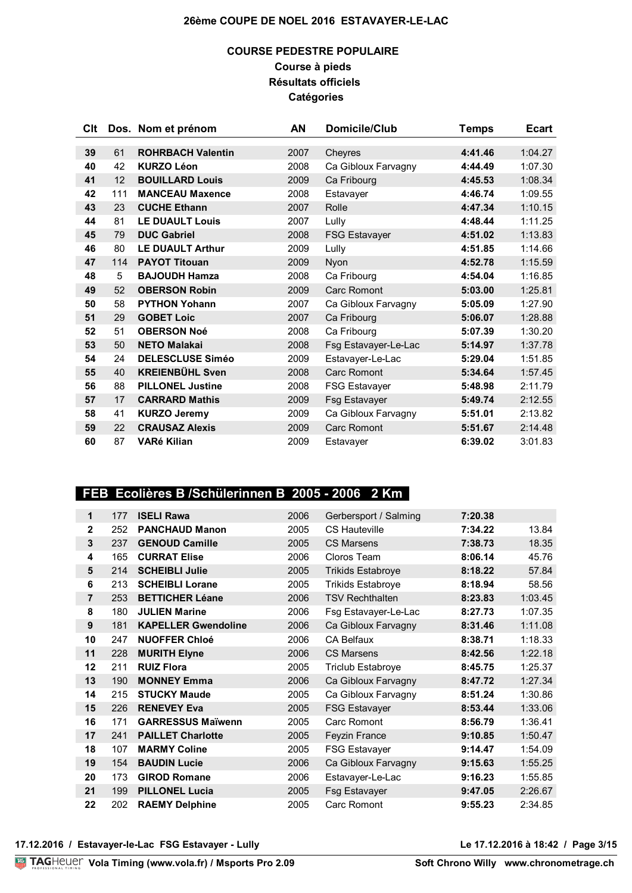### **COURSE PEDESTRE POPULAIRE Course à pieds Résultats officiels Catégories**

| Clt |     | Dos. Nom et prénom       | AN   | Domicile/Club        | <b>Temps</b> | <b>Ecart</b> |
|-----|-----|--------------------------|------|----------------------|--------------|--------------|
|     |     |                          |      |                      |              |              |
| 39  | 61  | <b>ROHRBACH Valentin</b> | 2007 | Cheyres              | 4:41.46      | 1:04.27      |
| 40  | 42  | <b>KURZO Léon</b>        | 2008 | Ca Gibloux Farvagny  | 4:44.49      | 1:07.30      |
| 41  | 12  | <b>BOUILLARD Louis</b>   | 2009 | Ca Fribourg          | 4:45.53      | 1:08.34      |
| 42  | 111 | <b>MANCEAU Maxence</b>   | 2008 | Estavayer            | 4:46.74      | 1:09.55      |
| 43  | 23  | <b>CUCHE Ethann</b>      | 2007 | Rolle                | 4:47.34      | 1:10.15      |
| 44  | 81  | <b>LE DUAULT Louis</b>   | 2007 | Lully                | 4:48.44      | 1:11.25      |
| 45  | 79  | <b>DUC Gabriel</b>       | 2008 | <b>FSG Estavayer</b> | 4:51.02      | 1:13.83      |
| 46  | 80  | <b>LE DUAULT Arthur</b>  | 2009 | Lully                | 4:51.85      | 1:14.66      |
| 47  | 114 | <b>PAYOT Titouan</b>     | 2009 | Nyon                 | 4:52.78      | 1:15.59      |
| 48  | 5   | <b>BAJOUDH Hamza</b>     | 2008 | Ca Fribourg          | 4:54.04      | 1:16.85      |
| 49  | 52  | <b>OBERSON Robin</b>     | 2009 | Carc Romont          | 5:03.00      | 1:25.81      |
| 50  | 58  | <b>PYTHON Yohann</b>     | 2007 | Ca Gibloux Farvagny  | 5:05.09      | 1:27.90      |
| 51  | 29  | <b>GOBET Loic</b>        | 2007 | Ca Fribourg          | 5:06.07      | 1:28.88      |
| 52  | 51  | <b>OBERSON Noé</b>       | 2008 | Ca Fribourg          | 5:07.39      | 1:30.20      |
| 53  | 50  | <b>NETO Malakai</b>      | 2008 | Fsg Estavayer-Le-Lac | 5:14.97      | 1:37.78      |
| 54  | 24  | <b>DELESCLUSE Siméo</b>  | 2009 | Estavayer-Le-Lac     | 5:29.04      | 1:51.85      |
| 55  | 40  | <b>KREIENBÜHL Sven</b>   | 2008 | Carc Romont          | 5:34.64      | 1:57.45      |
| 56  | 88  | <b>PILLONEL Justine</b>  | 2008 | <b>FSG Estavayer</b> | 5:48.98      | 2:11.79      |
| 57  | 17  | <b>CARRARD Mathis</b>    | 2009 | <b>Fsg Estavayer</b> | 5:49.74      | 2:12.55      |
| 58  | 41  | <b>KURZO Jeremy</b>      | 2009 | Ca Gibloux Farvagny  | 5:51.01      | 2:13.82      |
| 59  | 22  | <b>CRAUSAZ Alexis</b>    | 2009 | <b>Carc Romont</b>   | 5:51.67      | 2:14.48      |
| 60  | 87  | <b>VARé Kilian</b>       | 2009 | Estavayer            | 6:39.02      | 3:01.83      |

### **FEB Ecolières B /Schülerinnen B 2005 - 2006 2 Km**

| 1              | 177 | <b>ISELI Rawa</b>          | 2006 | Gerbersport / Salming    | 7:20.38 |         |
|----------------|-----|----------------------------|------|--------------------------|---------|---------|
| $\mathbf{2}$   | 252 | <b>PANCHAUD Manon</b>      | 2005 | <b>CS Hauteville</b>     | 7:34.22 | 13.84   |
| 3              | 237 | <b>GENOUD Camille</b>      | 2005 | <b>CS Marsens</b>        | 7:38.73 | 18.35   |
| 4              | 165 | <b>CURRAT Elise</b>        | 2006 | Cloros Team              | 8:06.14 | 45.76   |
| 5              | 214 | <b>SCHEIBLI Julie</b>      | 2005 | <b>Trikids Estabroye</b> | 8:18.22 | 57.84   |
| 6              | 213 | <b>SCHEIBLI Lorane</b>     | 2005 | <b>Trikids Estabroye</b> | 8:18.94 | 58.56   |
| $\overline{7}$ | 253 | <b>BETTICHER Léane</b>     | 2006 | <b>TSV Rechthalten</b>   | 8:23.83 | 1:03.45 |
| 8              | 180 | <b>JULIEN Marine</b>       | 2006 | Fsg Estavayer-Le-Lac     | 8:27.73 | 1:07.35 |
| 9              | 181 | <b>KAPELLER Gwendoline</b> | 2006 | Ca Gibloux Farvagny      | 8:31.46 | 1:11.08 |
| 10             | 247 | <b>NUOFFER Chloé</b>       | 2006 | <b>CA Belfaux</b>        | 8:38.71 | 1:18.33 |
| 11             | 228 | <b>MURITH Elyne</b>        | 2006 | <b>CS Marsens</b>        | 8:42.56 | 1:22.18 |
| 12             | 211 | <b>RUIZ Flora</b>          | 2005 | <b>Triclub Estabroye</b> | 8:45.75 | 1:25.37 |
| 13             | 190 | <b>MONNEY Emma</b>         | 2006 | Ca Gibloux Farvagny      | 8:47.72 | 1:27.34 |
| 14             | 215 | <b>STUCKY Maude</b>        | 2005 | Ca Gibloux Farvagny      | 8:51.24 | 1:30.86 |
| 15             | 226 | <b>RENEVEY Eva</b>         | 2005 | <b>FSG Estavayer</b>     | 8:53.44 | 1:33.06 |
| 16             | 171 | <b>GARRESSUS Maïwenn</b>   | 2005 | Carc Romont              | 8:56.79 | 1:36.41 |
| 17             | 241 | <b>PAILLET Charlotte</b>   | 2005 | <b>Feyzin France</b>     | 9:10.85 | 1:50.47 |
| 18             | 107 | <b>MARMY Coline</b>        | 2005 | <b>FSG Estavayer</b>     | 9:14.47 | 1:54.09 |
| 19             | 154 | <b>BAUDIN Lucie</b>        | 2006 | Ca Gibloux Farvagny      | 9:15.63 | 1:55.25 |
| 20             | 173 | <b>GIROD Romane</b>        | 2006 | Estavayer-Le-Lac         | 9:16.23 | 1:55.85 |
| 21             | 199 | <b>PILLONEL Lucia</b>      | 2005 | <b>Fsg Estavayer</b>     | 9:47.05 | 2:26.67 |
| 22             | 202 | <b>RAEMY Delphine</b>      | 2005 | Carc Romont              | 9:55.23 | 2:34.85 |

**17.12.2016 / Estavayer-le-Lac FSG Estavayer - Lully Le 17.12.2016 à 18:42 / Page 3/15**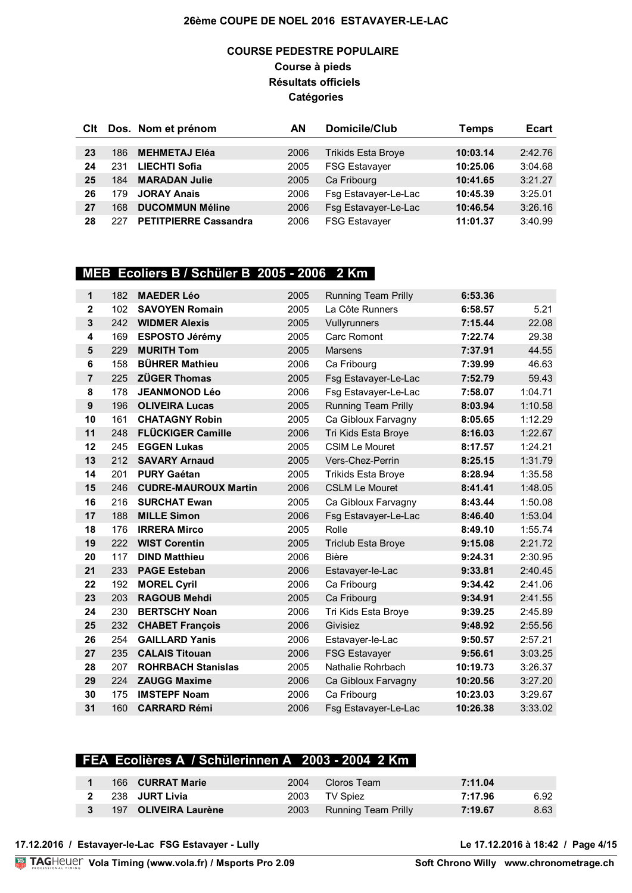### **COURSE PEDESTRE POPULAIRE Course à pieds Résultats officiels Catégories**

| Clt |     | Dos. Nom et prénom           | ΑN   | Domicile/Club             | Temps    | <b>Ecart</b> |
|-----|-----|------------------------------|------|---------------------------|----------|--------------|
|     |     |                              |      |                           |          |              |
| 23  | 186 | <b>MEHMETAJ Eléa</b>         | 2006 | <b>Trikids Esta Broye</b> | 10:03.14 | 2:42.76      |
| 24  | 231 | <b>LIECHTI Sofia</b>         | 2005 | <b>FSG Estavayer</b>      | 10:25.06 | 3:04.68      |
| 25  | 184 | <b>MARADAN Julie</b>         | 2005 | Ca Fribourg               | 10:41.65 | 3:21.27      |
| 26  | 179 | <b>JORAY Anais</b>           | 2006 | Fsg Estavayer-Le-Lac      | 10:45.39 | 3:25.01      |
| 27  | 168 | <b>DUCOMMUN Méline</b>       | 2006 | Fsg Estavayer-Le-Lac      | 10:46.54 | 3:26.16      |
| 28  | 227 | <b>PETITPIERRE Cassandra</b> | 2006 | <b>FSG Estavayer</b>      | 11:01.37 | 3:40.99      |

# **MEB Ecoliers B / Schüler B 2005 - 2006 2 Km**

| 1                       | 182 | <b>MAEDER Léo</b>           | 2005 | <b>Running Team Prilly</b> | 6:53.36  |         |
|-------------------------|-----|-----------------------------|------|----------------------------|----------|---------|
| $\overline{\mathbf{2}}$ | 102 | <b>SAVOYEN Romain</b>       | 2005 | La Côte Runners            | 6:58.57  | 5.21    |
| 3                       | 242 | <b>WIDMER Alexis</b>        | 2005 | Vullyrunners               | 7:15.44  | 22.08   |
| 4                       | 169 | <b>ESPOSTO Jérémy</b>       | 2005 | Carc Romont                | 7:22.74  | 29.38   |
| 5                       | 229 | <b>MURITH Tom</b>           | 2005 | <b>Marsens</b>             | 7:37.91  | 44.55   |
| 6                       | 158 | <b>BÜHRER Mathieu</b>       | 2006 | Ca Fribourg                | 7:39.99  | 46.63   |
| $\overline{7}$          | 225 | <b>ZÜGER Thomas</b>         | 2005 | Fsg Estavayer-Le-Lac       | 7:52.79  | 59.43   |
| 8                       | 178 | <b>JEANMONOD Léo</b>        | 2006 | Fsg Estavayer-Le-Lac       | 7:58.07  | 1:04.71 |
| $\boldsymbol{9}$        | 196 | <b>OLIVEIRA Lucas</b>       | 2005 | <b>Running Team Prilly</b> | 8:03.94  | 1:10.58 |
| 10                      | 161 | <b>CHATAGNY Robin</b>       | 2005 | Ca Gibloux Farvagny        | 8:05.65  | 1:12.29 |
| 11                      | 248 | <b>FLÜCKIGER Camille</b>    | 2006 | Tri Kids Esta Broye        | 8:16.03  | 1:22.67 |
| 12                      | 245 | <b>EGGEN Lukas</b>          | 2005 | <b>CSIM Le Mouret</b>      | 8:17.57  | 1:24.21 |
| 13                      | 212 | <b>SAVARY Arnaud</b>        | 2005 | Vers-Chez-Perrin           | 8:25.15  | 1:31.79 |
| 14                      | 201 | <b>PURY Gaétan</b>          | 2005 | <b>Trikids Esta Broye</b>  | 8:28.94  | 1:35.58 |
| 15                      | 246 | <b>CUDRE-MAUROUX Martin</b> | 2006 | <b>CSLM Le Mouret</b>      | 8:41.41  | 1:48.05 |
| 16                      | 216 | <b>SURCHAT Ewan</b>         | 2005 | Ca Gibloux Farvagny        | 8:43.44  | 1:50.08 |
| 17                      | 188 | <b>MILLE Simon</b>          | 2006 | Fsg Estavayer-Le-Lac       | 8:46.40  | 1:53.04 |
| 18                      | 176 | <b>IRRERA Mirco</b>         | 2005 | Rolle                      | 8:49.10  | 1:55.74 |
| 19                      | 222 | <b>WIST Corentin</b>        | 2005 | <b>Triclub Esta Broye</b>  | 9:15.08  | 2:21.72 |
| 20                      | 117 | <b>DIND Matthieu</b>        | 2006 | <b>Bière</b>               | 9:24.31  | 2:30.95 |
| 21                      | 233 | <b>PAGE Esteban</b>         | 2006 | Estavayer-le-Lac           | 9:33.81  | 2:40.45 |
| 22                      | 192 | <b>MOREL Cyril</b>          | 2006 | Ca Fribourg                | 9:34.42  | 2:41.06 |
| 23                      | 203 | <b>RAGOUB Mehdi</b>         | 2005 | Ca Fribourg                | 9:34.91  | 2:41.55 |
| 24                      | 230 | <b>BERTSCHY Noan</b>        | 2006 | Tri Kids Esta Broye        | 9:39.25  | 2:45.89 |
| 25                      | 232 | <b>CHABET François</b>      | 2006 | Givisiez                   | 9:48.92  | 2:55.56 |
| 26                      | 254 | <b>GAILLARD Yanis</b>       | 2006 | Estavayer-le-Lac           | 9:50.57  | 2:57.21 |
| 27                      | 235 | <b>CALAIS Titouan</b>       | 2006 | <b>FSG Estavayer</b>       | 9:56.61  | 3:03.25 |
| 28                      | 207 | <b>ROHRBACH Stanislas</b>   | 2005 | Nathalie Rohrbach          | 10:19.73 | 3:26.37 |
| 29                      | 224 | <b>ZAUGG Maxime</b>         | 2006 | Ca Gibloux Farvagny        | 10:20.56 | 3:27.20 |
| 30                      | 175 | <b>IMSTEPF Noam</b>         | 2006 | Ca Fribourg                | 10:23.03 | 3:29.67 |
| 31                      | 160 | <b>CARRARD Rémi</b>         | 2006 | Fsg Estavayer-Le-Lac       | 10:26.38 | 3:33.02 |

### **FEA Ecolières A / Schülerinnen A 2003 - 2004 2 Km**

|  | 166 CURRAT Marie     | 2004 | Cloros Team              | 7:11.04 |      |
|--|----------------------|------|--------------------------|---------|------|
|  | 238 JURT Livia       |      | 2003 TV Spiez            | 7:17.96 | 6.92 |
|  | 197 OLIVEIRA Laurène |      | 2003 Running Team Prilly | 7:19.67 | 8.63 |

**17.12.2016 / Estavayer-le-Lac FSG Estavayer - Lully Le 17.12.2016 à 18:42 / Page 4/15**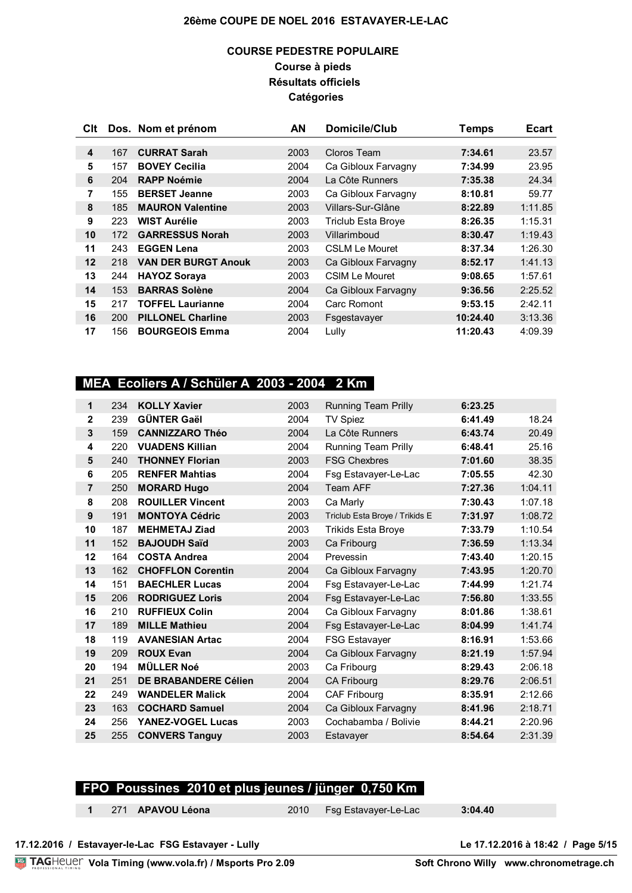### **COURSE PEDESTRE POPULAIRE Course à pieds Résultats officiels Catégories**

| Clt |     | Dos. Nom et prénom         | AN   | Domicile/Club             | Temps    | <b>Ecart</b> |
|-----|-----|----------------------------|------|---------------------------|----------|--------------|
|     |     |                            |      |                           |          |              |
| 4   | 167 | <b>CURRAT Sarah</b>        | 2003 | Cloros Team               | 7:34.61  | 23.57        |
| 5   | 157 | <b>BOVEY Cecilia</b>       | 2004 | Ca Gibloux Farvagny       | 7:34.99  | 23.95        |
| 6   | 204 | <b>RAPP Noémie</b>         | 2004 | La Côte Runners           | 7:35.38  | 24.34        |
| 7   | 155 | <b>BERSET Jeanne</b>       | 2003 | Ca Gibloux Farvagny       | 8:10.81  | 59.77        |
| 8   | 185 | <b>MAURON Valentine</b>    | 2003 | Villars-Sur-Glâne         | 8:22.89  | 1:11.85      |
| 9   | 223 | <b>WIST Aurélie</b>        | 2003 | <b>Triclub Esta Broye</b> | 8:26.35  | 1:15.31      |
| 10  | 172 | <b>GARRESSUS Norah</b>     | 2003 | Villarimboud              | 8:30.47  | 1:19.43      |
| 11  | 243 | <b>EGGEN Lena</b>          | 2003 | CSI M Le Mouret           | 8:37.34  | 1:26.30      |
| 12  | 218 | <b>VAN DER BURGT Anouk</b> | 2003 | Ca Gibloux Farvagny       | 8:52.17  | 1:41.13      |
| 13  | 244 | <b>HAYOZ Soraya</b>        | 2003 | <b>CSIM Le Mouret</b>     | 9:08.65  | 1:57.61      |
| 14  | 153 | <b>BARRAS Solène</b>       | 2004 | Ca Gibloux Farvagny       | 9:36.56  | 2:25.52      |
| 15  | 217 | <b>TOFFEL Laurianne</b>    | 2004 | Carc Romont               | 9:53.15  | 2:42.11      |
| 16  | 200 | <b>PILLONEL Charline</b>   | 2003 | Fsgestavayer              | 10:24.40 | 3:13.36      |
| 17  | 156 | <b>BOURGEOIS Emma</b>      | 2004 | Lully                     | 11:20.43 | 4:09.39      |

## **MEA Ecoliers A / Schüler A 2003 - 2004 2 Km**

| 1              | 234 | <b>KOLLY Xavier</b>         | 2003 | <b>Running Team Prilly</b>     | 6:23.25 |         |
|----------------|-----|-----------------------------|------|--------------------------------|---------|---------|
| $\overline{2}$ | 239 | <b>GÜNTER Gaël</b>          | 2004 | <b>TV Spiez</b>                | 6:41.49 | 18.24   |
| 3              | 159 | <b>CANNIZZARO Théo</b>      | 2004 | La Côte Runners                | 6:43.74 | 20.49   |
| 4              | 220 | <b>VUADENS Killian</b>      | 2004 | <b>Running Team Prilly</b>     | 6:48.41 | 25.16   |
| 5              | 240 | <b>THONNEY Florian</b>      | 2003 | <b>FSG Chexbres</b>            | 7:01.60 | 38.35   |
| 6              | 205 | <b>RENFER Mahtias</b>       | 2004 | Fsg Estavayer-Le-Lac           | 7:05.55 | 42.30   |
| $\overline{7}$ | 250 | <b>MORARD Hugo</b>          | 2004 | Team AFF                       | 7:27.36 | 1:04.11 |
| 8              | 208 | <b>ROUILLER Vincent</b>     | 2003 | Ca Marly                       | 7:30.43 | 1:07.18 |
| 9              | 191 | <b>MONTOYA Cédric</b>       | 2003 | Triclub Esta Broye / Trikids E | 7:31.97 | 1:08.72 |
| 10             | 187 | <b>MEHMETAJ Ziad</b>        | 2003 | <b>Trikids Esta Broye</b>      | 7:33.79 | 1:10.54 |
| 11             | 152 | <b>BAJOUDH Saïd</b>         | 2003 | Ca Fribourg                    | 7:36.59 | 1:13.34 |
| 12             | 164 | <b>COSTA Andrea</b>         | 2004 | Prevessin                      | 7:43.40 | 1:20.15 |
| 13             | 162 | <b>CHOFFLON Corentin</b>    | 2004 | Ca Gibloux Farvagny            | 7:43.95 | 1:20.70 |
| 14             | 151 | <b>BAECHLER Lucas</b>       | 2004 | Fsg Estavayer-Le-Lac           | 7:44.99 | 1:21.74 |
| 15             | 206 | <b>RODRIGUEZ Loris</b>      | 2004 | Fsg Estavayer-Le-Lac           | 7:56.80 | 1:33.55 |
| 16             | 210 | <b>RUFFIEUX Colin</b>       | 2004 | Ca Gibloux Farvagny            | 8:01.86 | 1:38.61 |
| 17             | 189 | <b>MILLE Mathieu</b>        | 2004 | Fsg Estavayer-Le-Lac           | 8:04.99 | 1:41.74 |
| 18             | 119 | <b>AVANESIAN Artac</b>      | 2004 | <b>FSG Estavayer</b>           | 8:16.91 | 1:53.66 |
| 19             | 209 | <b>ROUX Evan</b>            | 2004 | Ca Gibloux Farvagny            | 8:21.19 | 1:57.94 |
| 20             | 194 | <b>MÜLLER Noé</b>           | 2003 | Ca Fribourg                    | 8:29.43 | 2:06.18 |
| 21             | 251 | <b>DE BRABANDERE Célien</b> | 2004 | <b>CA Fribourg</b>             | 8:29.76 | 2:06.51 |
| 22             | 249 | <b>WANDELER Malick</b>      | 2004 | CAF Fribourg                   | 8:35.91 | 2:12.66 |
| 23             | 163 | <b>COCHARD Samuel</b>       | 2004 | Ca Gibloux Farvagny            | 8:41.96 | 2:18.71 |
| 24             | 256 | <b>YANEZ-VOGEL Lucas</b>    | 2003 | Cochabamba / Bolivie           | 8:44.21 | 2:20.96 |
| 25             | 255 | <b>CONVERS Tanguy</b>       | 2003 | Estavayer                      | 8:54.64 | 2:31.39 |

### **FPO Poussines 2010 et plus jeunes / jünger 0,750 Km**

271 **APAVOU Léona** 2010 Fsg Estavayer-Le-Lac **3:04.40**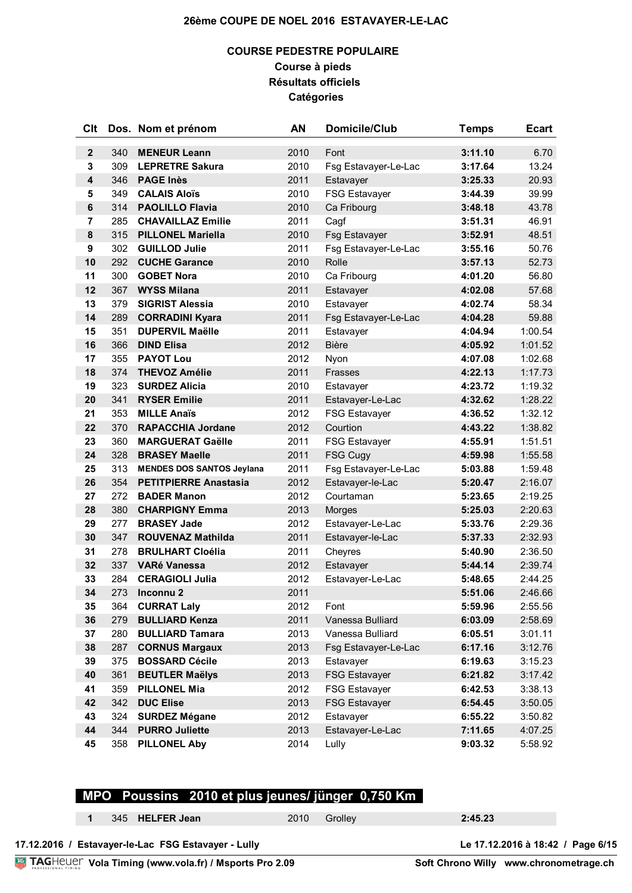### **COURSE PEDESTRE POPULAIRE Course à pieds Résultats officiels Catégories**

| Clt            |     | Dos. Nom et prénom               | AN   | <b>Domicile/Club</b> | <b>Temps</b> | <b>Ecart</b> |
|----------------|-----|----------------------------------|------|----------------------|--------------|--------------|
| $\mathbf{2}$   | 340 | <b>MENEUR Leann</b>              | 2010 | Font                 | 3:11.10      | 6.70         |
| 3              | 309 | <b>LEPRETRE Sakura</b>           | 2010 | Fsg Estavayer-Le-Lac | 3:17.64      | 13.24        |
| 4              | 346 | <b>PAGE Inès</b>                 | 2011 | Estavayer            | 3:25.33      | 20.93        |
| 5              | 349 | <b>CALAIS Aloïs</b>              | 2010 | <b>FSG Estavayer</b> | 3:44.39      | 39.99        |
| $\bf 6$        | 314 | <b>PAOLILLO Flavia</b>           | 2010 | Ca Fribourg          | 3:48.18      | 43.78        |
| $\overline{7}$ | 285 | <b>CHAVAILLAZ Emilie</b>         | 2011 | Cagf                 | 3:51.31      | 46.91        |
| 8              | 315 | <b>PILLONEL Mariella</b>         | 2010 | <b>Fsg Estavayer</b> | 3:52.91      | 48.51        |
| 9              | 302 | <b>GUILLOD Julie</b>             | 2011 | Fsg Estavayer-Le-Lac | 3:55.16      | 50.76        |
| 10             | 292 | <b>CUCHE Garance</b>             | 2010 | Rolle                | 3:57.13      | 52.73        |
| 11             | 300 | <b>GOBET Nora</b>                | 2010 | Ca Fribourg          | 4:01.20      | 56.80        |
| 12             | 367 | <b>WYSS Milana</b>               | 2011 | Estavayer            | 4:02.08      | 57.68        |
| 13             | 379 | <b>SIGRIST Alessia</b>           | 2010 | Estavayer            | 4:02.74      | 58.34        |
| 14             | 289 | <b>CORRADINI Kyara</b>           | 2011 | Fsg Estavayer-Le-Lac | 4:04.28      | 59.88        |
| 15             | 351 | <b>DUPERVIL Maëlle</b>           | 2011 | Estavayer            | 4:04.94      | 1:00.54      |
| 16             | 366 | <b>DIND Elisa</b>                | 2012 | <b>Bière</b>         | 4:05.92      | 1:01.52      |
| 17             | 355 | <b>PAYOT Lou</b>                 | 2012 | Nyon                 | 4:07.08      | 1:02.68      |
| 18             | 374 | <b>THEVOZ Amélie</b>             | 2011 | <b>Frasses</b>       | 4:22.13      | 1:17.73      |
| 19             | 323 | <b>SURDEZ Alicia</b>             | 2010 | Estavayer            | 4:23.72      | 1:19.32      |
| 20             | 341 | <b>RYSER Emilie</b>              | 2011 | Estavayer-Le-Lac     | 4:32.62      | 1:28.22      |
| 21             | 353 | <b>MILLE Anaïs</b>               | 2012 | <b>FSG Estavayer</b> | 4:36.52      | 1:32.12      |
| 22             | 370 | <b>RAPACCHIA Jordane</b>         | 2012 | Courtion             | 4:43.22      | 1:38.82      |
| 23             | 360 | <b>MARGUERAT Gaëlle</b>          | 2011 | <b>FSG Estavayer</b> | 4:55.91      | 1:51.51      |
| 24             | 328 | <b>BRASEY Maelle</b>             | 2011 | <b>FSG Cugy</b>      | 4:59.98      | 1:55.58      |
| 25             | 313 | <b>MENDES DOS SANTOS Jeylana</b> | 2011 | Fsg Estavayer-Le-Lac | 5:03.88      | 1:59.48      |
| 26             | 354 | <b>PETITPIERRE Anastasia</b>     | 2012 | Estavayer-le-Lac     | 5:20.47      | 2:16.07      |
| 27             | 272 | <b>BADER Manon</b>               | 2012 | Courtaman            | 5:23.65      | 2:19.25      |
| 28             | 380 | <b>CHARPIGNY Emma</b>            | 2013 | Morges               | 5:25.03      | 2:20.63      |
| 29             | 277 | <b>BRASEY Jade</b>               | 2012 | Estavayer-Le-Lac     | 5:33.76      | 2:29.36      |
| 30             | 347 | <b>ROUVENAZ Mathilda</b>         | 2011 | Estavayer-le-Lac     | 5:37.33      | 2:32.93      |
| 31             | 278 | <b>BRULHART Cloélia</b>          | 2011 | Cheyres              | 5:40.90      | 2:36.50      |
| 32             | 337 | <b>VARé Vanessa</b>              | 2012 | Estavayer            | 5:44.14      | 2:39.74      |
| 33             | 284 | <b>CERAGIOLI Julia</b>           | 2012 | Estavayer-Le-Lac     | 5:48.65      | 2:44.25      |
| 34             | 273 | Inconnu <sub>2</sub>             | 2011 |                      | 5:51.06      | 2:46.66      |
| 35             | 364 | <b>CURRAT Laly</b>               | 2012 | Font                 | 5:59.96      | 2:55.56      |
| 36             | 279 | <b>BULLIARD Kenza</b>            | 2011 | Vanessa Bulliard     | 6:03.09      | 2:58.69      |
| 37             | 280 | <b>BULLIARD Tamara</b>           | 2013 | Vanessa Bulliard     | 6:05.51      | 3:01.11      |
| 38             | 287 | <b>CORNUS Margaux</b>            | 2013 | Fsg Estavayer-Le-Lac | 6:17.16      | 3:12.76      |
| 39             | 375 | <b>BOSSARD Cécile</b>            | 2013 | Estavayer            | 6:19.63      | 3:15.23      |
| 40             | 361 | <b>BEUTLER Maëlys</b>            | 2013 | <b>FSG Estavayer</b> | 6:21.82      | 3:17.42      |
| 41             | 359 | <b>PILLONEL Mia</b>              | 2012 | <b>FSG Estavayer</b> | 6:42.53      | 3:38.13      |
| 42             | 342 | <b>DUC Elise</b>                 | 2013 | <b>FSG Estavayer</b> | 6:54.45      | 3:50.05      |
| 43             | 324 | <b>SURDEZ Mégane</b>             | 2012 | Estavayer            | 6:55.22      | 3:50.82      |
| 44             | 344 | <b>PURRO Juliette</b>            | 2013 | Estavayer-Le-Lac     | 7:11.65      | 4:07.25      |
| 45             | 358 | <b>PILLONEL Aby</b>              | 2014 | Lully                | 9:03.32      | 5:58.92      |

# **MPO Poussins 2010 et plus jeunes/ jünger 0,750 Km**

| 345 HELFER Jean | 2010 | 2:45.23 |
|-----------------|------|---------|

| 17.12.2016 / Estavayer-le-Lac FSG Estavayer - Lully          |  |
|--------------------------------------------------------------|--|
| <b>TAGHeuer Vola Timing (www.vola.fr) / Msports Pro 2.09</b> |  |

Soft Chrono Willy www.chronometrage.ch

Le 17.12.2016 à 18:42 / Page 6/15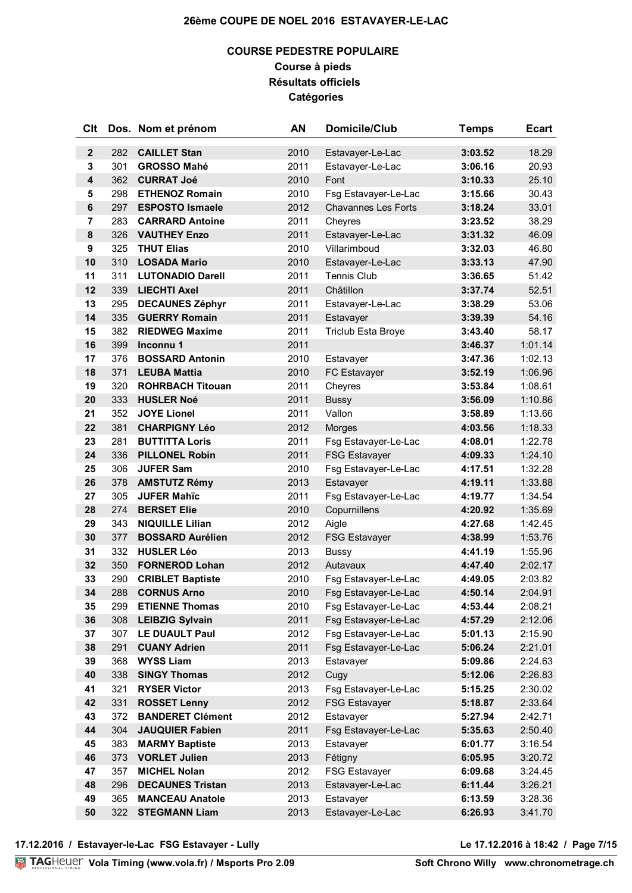### **COURSE PEDESTRE POPULAIRE Course à pieds Résultats officiels Catégories**

| Clt            |     | Dos. Nom et prénom      | AN   | Domicile/Club              | <b>Temps</b> | <b>Ecart</b> |
|----------------|-----|-------------------------|------|----------------------------|--------------|--------------|
| $\mathbf{2}$   | 282 | <b>CAILLET Stan</b>     | 2010 | Estavayer-Le-Lac           | 3:03.52      | 18.29        |
| 3              | 301 | <b>GROSSO Mahé</b>      | 2011 | Estavayer-Le-Lac           | 3:06.16      | 20.93        |
| 4              | 362 | <b>CURRAT Joé</b>       | 2010 | Font                       | 3:10.33      | 25.10        |
| 5              | 298 | <b>ETHENOZ Romain</b>   | 2010 | Fsg Estavayer-Le-Lac       | 3:15.66      | 30.43        |
| $\bf 6$        | 297 | <b>ESPOSTO Ismaele</b>  | 2012 | <b>Chavannes Les Forts</b> | 3:18.24      | 33.01        |
| $\overline{7}$ | 283 | <b>CARRARD Antoine</b>  | 2011 | Cheyres                    | 3:23.52      | 38.29        |
| ${\bf 8}$      | 326 | <b>VAUTHEY Enzo</b>     | 2011 | Estavayer-Le-Lac           | 3:31.32      | 46.09        |
| 9              | 325 | <b>THUT Elias</b>       | 2010 | Villarimboud               | 3:32.03      | 46.80        |
| 10             | 310 | <b>LOSADA Mario</b>     | 2010 | Estavayer-Le-Lac           | 3:33.13      | 47.90        |
| 11             | 311 | <b>LUTONADIO Darell</b> | 2011 | <b>Tennis Club</b>         | 3:36.65      | 51.42        |
| 12             | 339 | <b>LIECHTI Axel</b>     | 2011 | Châtillon                  | 3:37.74      | 52.51        |
| 13             | 295 | <b>DECAUNES Zéphyr</b>  | 2011 | Estavayer-Le-Lac           | 3:38.29      | 53.06        |
| 14             | 335 | <b>GUERRY Romain</b>    | 2011 | Estavayer                  | 3:39.39      | 54.16        |
| 15             | 382 | <b>RIEDWEG Maxime</b>   | 2011 | Triclub Esta Broye         | 3:43.40      | 58.17        |
| 16             | 399 | Inconnu 1               | 2011 |                            | 3:46.37      | 1:01.14      |
| 17             | 376 | <b>BOSSARD Antonin</b>  | 2010 | Estavayer                  | 3:47.36      | 1:02.13      |
| 18             | 371 | <b>LEUBA Mattia</b>     | 2010 | FC Estavayer               | 3:52.19      | 1:06.96      |
| 19             | 320 | <b>ROHRBACH Titouan</b> | 2011 | Cheyres                    | 3:53.84      | 1:08.61      |
| 20             | 333 | <b>HUSLER Noé</b>       | 2011 | <b>Bussy</b>               | 3:56.09      | 1:10.86      |
| 21             | 352 | <b>JOYE Lionel</b>      | 2011 | Vallon                     | 3:58.89      | 1:13.66      |
| 22             | 381 | <b>CHARPIGNY Léo</b>    | 2012 | Morges                     | 4:03.56      | 1:18.33      |
| 23             | 281 | <b>BUTTITTA Loris</b>   | 2011 | Fsg Estavayer-Le-Lac       | 4:08.01      | 1:22.78      |
| 24             | 336 | <b>PILLONEL Robin</b>   | 2011 | <b>FSG Estavayer</b>       | 4:09.33      | 1:24.10      |
| 25             | 306 | <b>JUFER Sam</b>        | 2010 | Fsg Estavayer-Le-Lac       | 4:17.51      | 1:32.28      |
| 26             | 378 | <b>AMSTUTZ Rémy</b>     | 2013 | Estavayer                  | 4:19.11      | 1:33.88      |
| 27             | 305 | <b>JUFER Mahic</b>      | 2011 | Fsg Estavayer-Le-Lac       | 4:19.77      | 1:34.54      |
| 28             | 274 | <b>BERSET Elie</b>      | 2010 | Copurnillens               | 4:20.92      | 1:35.69      |
| 29             | 343 | <b>NIQUILLE Lilian</b>  | 2012 | Aigle                      | 4:27.68      | 1:42.45      |
| 30             | 377 | <b>BOSSARD Aurélien</b> | 2012 | <b>FSG Estavayer</b>       | 4:38.99      | 1:53.76      |
| 31             | 332 | <b>HUSLER Léo</b>       | 2013 | <b>Bussy</b>               | 4:41.19      | 1:55.96      |
| 32             | 350 | <b>FORNEROD Lohan</b>   | 2012 | Autavaux                   | 4:47.40      | 2:02.17      |
| 33             | 290 | <b>CRIBLET Baptiste</b> | 2010 | Fsg Estavayer-Le-Lac       | 4:49.05      | 2:03.82      |
| 34             | 288 | <b>CORNUS Arno</b>      | 2010 | Fsg Estavayer-Le-Lac       | 4:50.14      | 2:04.91      |
| 35             | 299 | <b>ETIENNE Thomas</b>   | 2010 | Fsg Estavayer-Le-Lac       | 4:53.44      | 2:08.21      |
| 36             | 308 | <b>LEIBZIG Sylvain</b>  | 2011 | Fsg Estavayer-Le-Lac       | 4:57.29      | 2:12.06      |
| 37             | 307 | <b>LE DUAULT Paul</b>   | 2012 | Fsg Estavayer-Le-Lac       | 5:01.13      | 2:15.90      |
| 38             | 291 | <b>CUANY Adrien</b>     | 2011 | Fsg Estavayer-Le-Lac       | 5:06.24      | 2:21.01      |
| 39             | 368 | <b>WYSS Liam</b>        | 2013 | Estavayer                  | 5:09.86      | 2:24.63      |
| 40             | 338 | <b>SINGY Thomas</b>     | 2012 | Cugy                       | 5:12.06      | 2:26.83      |
| 41             | 321 | <b>RYSER Victor</b>     | 2013 | Fsg Estavayer-Le-Lac       | 5:15.25      | 2:30.02      |
| 42             | 331 | <b>ROSSET Lenny</b>     | 2012 | <b>FSG Estavayer</b>       | 5:18.87      | 2:33.64      |
| 43             | 372 | <b>BANDERET Clément</b> | 2012 | Estavayer                  | 5:27.94      | 2:42.71      |
| 44             | 304 | <b>JAUQUIER Fabien</b>  | 2011 | Fsg Estavayer-Le-Lac       | 5:35.63      | 2:50.40      |
| 45             | 383 | <b>MARMY Baptiste</b>   | 2013 | Estavayer                  | 6:01.77      | 3:16.54      |
| 46             | 373 | <b>VORLET Julien</b>    | 2013 | Fétigny                    | 6:05.95      | 3:20.72      |
| 47             | 357 | <b>MICHEL Nolan</b>     | 2012 | <b>FSG Estavayer</b>       | 6:09.68      | 3:24.45      |
| 48             | 296 | <b>DECAUNES Tristan</b> | 2013 | Estavayer-Le-Lac           | 6:11.44      | 3:26.21      |
| 49             | 365 | <b>MANCEAU Anatole</b>  | 2013 | Estavayer                  | 6:13.59      | 3:28.36      |
| 50             | 322 | <b>STEGMANN Liam</b>    | 2013 | Estavayer-Le-Lac           | 6:26.93      | 3:41.70      |

**17.12.2016 / Estavayer-le-Lac FSG Estavayer - Lully Le 17.12.2016 à 18:42 / Page 7/15**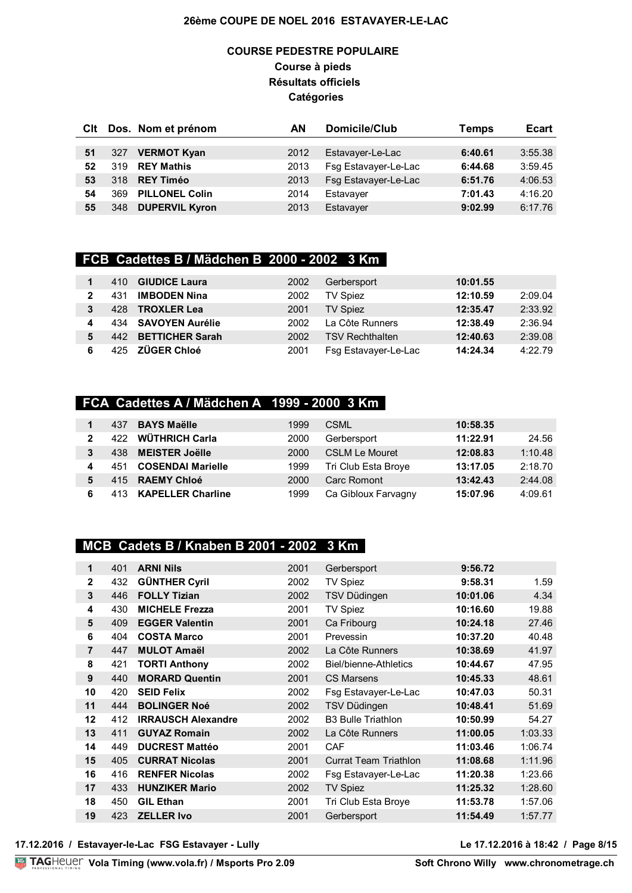### **COURSE PEDESTRE POPULAIRE Course à pieds Résultats officiels Catégories**

| CIt |     | Dos. Nom et prénom    | ΑN   | Domicile/Club        | Temps   | <b>Ecart</b> |
|-----|-----|-----------------------|------|----------------------|---------|--------------|
|     |     |                       |      |                      |         |              |
| 51  | 327 | <b>VERMOT Kyan</b>    | 2012 | Estavayer-Le-Lac     | 6:40.61 | 3:55.38      |
| 52  | 319 | <b>REY Mathis</b>     | 2013 | Fsg Estavayer-Le-Lac | 6:44.68 | 3:59.45      |
| 53  | 318 | <b>REY Timéo</b>      | 2013 | Fsg Estavayer-Le-Lac | 6:51.76 | 4:06.53      |
| 54  | 369 | <b>PILLONEL Colin</b> | 2014 | Estavayer            | 7:01.43 | 4:16.20      |
| 55  | 348 | <b>DUPERVIL Kyron</b> | 2013 | Estavayer            | 9:02.99 | 6:17.76      |

### **FCB Cadettes B / Mädchen B 2000 - 2002 3 Km**

|              | 410 | <b>GIUDICE Laura</b>   | 2002 | Gerbersport            | 10:01.55 |         |
|--------------|-----|------------------------|------|------------------------|----------|---------|
| $\mathbf{2}$ | 431 | <b>IMBODEN Nina</b>    | 2002 | <b>TV Spiez</b>        | 12:10.59 | 2:09.04 |
| 3            | 428 | <b>TROXLER Lea</b>     | 2001 | <b>TV Spiez</b>        | 12:35.47 | 2:33.92 |
| 4            |     | 434 SAVOYEN Aurélie    | 2002 | La Côte Runners        | 12:38.49 | 2:36.94 |
| 5            | 442 | <b>BETTICHER Sarah</b> | 2002 | <b>TSV Rechthalten</b> | 12:40.63 | 2:39.08 |
| 6            |     | 425 ZÜGER Chloé        | 2001 | Fsg Estavayer-Le-Lac   | 14:24.34 | 4:22.79 |

### **FCA Cadettes A / Mädchen A 1999 - 2000 3 Km**

|                | 437  | <b>BAYS Maëlle</b>       | 1999 | <b>CSML</b>           | 10:58.35 |         |
|----------------|------|--------------------------|------|-----------------------|----------|---------|
| $\overline{2}$ | 422. | WÜTHRICH Carla           | 2000 | Gerbersport           | 11:22.91 | 24.56   |
| 3              | 438  | <b>MEISTER Joëlle</b>    | 2000 | <b>CSLM Le Mouret</b> | 12:08.83 | 1:10.48 |
| 4              | 451  | <b>COSENDAI Marielle</b> | 1999 | Tri Club Esta Broye   | 13:17.05 | 2:18.70 |
| 5              |      | 415 RAEMY Chloé          | 2000 | Carc Romont           | 13:42.43 | 2:44.08 |
| 6              | 413  | <b>KAPELLER Charline</b> | 1999 | Ca Gibloux Farvagny   | 15:07.96 | 4:09.61 |

### **MCB Cadets B / Knaben B 2001 - 2002 3 Km**

| 1              | 401 | <b>ARNI Nils</b>          | 2001 | Gerbersport                  | 9:56.72  |         |
|----------------|-----|---------------------------|------|------------------------------|----------|---------|
| $\mathbf{2}$   | 432 | <b>GÜNTHER Cyril</b>      | 2002 | TV Spiez                     | 9:58.31  | 1.59    |
| 3              | 446 | <b>FOLLY Tizian</b>       | 2002 | <b>TSV Düdingen</b>          | 10:01.06 | 4.34    |
| 4              | 430 | <b>MICHELE Frezza</b>     | 2001 | <b>TV Spiez</b>              | 10:16.60 | 19.88   |
| 5              | 409 | <b>EGGER Valentin</b>     | 2001 | Ca Fribourg                  | 10:24.18 | 27.46   |
| 6              | 404 | <b>COSTA Marco</b>        | 2001 | Prevessin                    | 10:37.20 | 40.48   |
| $\overline{7}$ | 447 | <b>MULOT Amaël</b>        | 2002 | La Côte Runners              | 10:38.69 | 41.97   |
| 8              | 421 | <b>TORTI Anthony</b>      | 2002 | Biel/bienne-Athletics        | 10:44.67 | 47.95   |
| 9              | 440 | <b>MORARD Quentin</b>     | 2001 | <b>CS Marsens</b>            | 10:45.33 | 48.61   |
| 10             | 420 | <b>SEID Felix</b>         | 2002 | Fsg Estavayer-Le-Lac         | 10:47.03 | 50.31   |
| 11             | 444 | <b>BOLINGER Noé</b>       | 2002 | <b>TSV Düdingen</b>          | 10:48.41 | 51.69   |
| 12             | 412 | <b>IRRAUSCH Alexandre</b> | 2002 | <b>B3 Bulle Triathlon</b>    | 10:50.99 | 54.27   |
| 13             | 411 | <b>GUYAZ Romain</b>       | 2002 | La Côte Runners              | 11:00.05 | 1:03.33 |
| 14             | 449 | <b>DUCREST Mattéo</b>     | 2001 | CAF                          | 11:03.46 | 1:06.74 |
| 15             | 405 | <b>CURRAT Nicolas</b>     | 2001 | <b>Currat Team Triathlon</b> | 11:08.68 | 1:11.96 |
| 16             | 416 | <b>RENFER Nicolas</b>     | 2002 | Fsg Estavayer-Le-Lac         | 11:20.38 | 1:23.66 |
| 17             | 433 | <b>HUNZIKER Mario</b>     | 2002 | <b>TV Spiez</b>              | 11:25.32 | 1:28.60 |
| 18             | 450 | <b>GIL Ethan</b>          | 2001 | Tri Club Esta Broye          | 11:53.78 | 1:57.06 |
| 19             | 423 | <b>ZELLER Ivo</b>         | 2001 | Gerbersport                  | 11:54.49 | 1:57.77 |
|                |     |                           |      |                              |          |         |

**17.12.2016 / Estavayer-le-Lac FSG Estavayer - Lully Le 17.12.2016 à 18:42 / Page 8/15**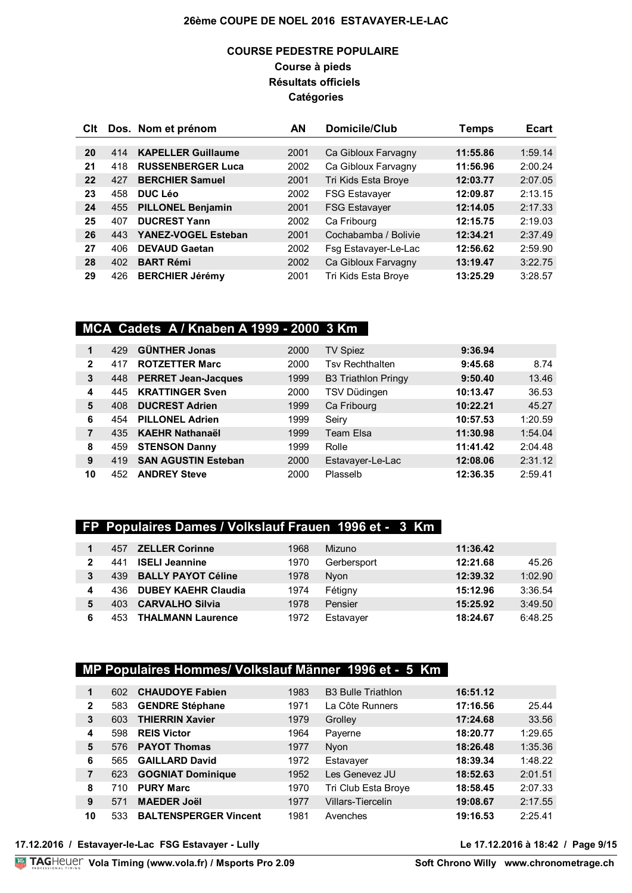### **COURSE PEDESTRE POPULAIRE Course à pieds Résultats officiels Catégories**

| CIt |     | Dos. Nom et prénom        | AN   | Domicile/Club        | Temps    | <b>Ecart</b> |
|-----|-----|---------------------------|------|----------------------|----------|--------------|
|     |     |                           |      |                      |          |              |
| 20  | 414 | <b>KAPELLER Guillaume</b> | 2001 | Ca Gibloux Farvagny  | 11:55.86 | 1:59.14      |
| 21  | 418 | <b>RUSSENBERGER Luca</b>  | 2002 | Ca Gibloux Farvagny  | 11:56.96 | 2:00.24      |
| 22  | 427 | <b>BERCHIER Samuel</b>    | 2001 | Tri Kids Esta Broye  | 12:03.77 | 2:07.05      |
| 23  | 458 | <b>DUC Léo</b>            | 2002 | <b>FSG Estavayer</b> | 12:09.87 | 2:13.15      |
| 24  | 455 | <b>PILLONEL Benjamin</b>  | 2001 | <b>FSG Estavayer</b> | 12:14.05 | 2:17.33      |
| 25  | 407 | <b>DUCREST Yann</b>       | 2002 | Ca Fribourg          | 12:15.75 | 2:19.03      |
| 26  | 443 | YANEZ-VOGEL Esteban       | 2001 | Cochabamba / Bolivie | 12:34.21 | 2:37.49      |
| 27  | 406 | <b>DEVAUD Gaetan</b>      | 2002 | Fsg Estavayer-Le-Lac | 12:56.62 | 2:59.90      |
| 28  | 402 | <b>BART Rémi</b>          | 2002 | Ca Gibloux Farvagny  | 13:19.47 | 3:22.75      |
| 29  | 426 | <b>BERCHIER Jérémy</b>    | 2001 | Tri Kids Esta Broye  | 13:25.29 | 3:28.57      |

### **MCA Cadets A / Knaben A 1999 - 2000 3 Km**

| 1  | 429 | <b>GÜNTHER Jonas</b>       | 2000 | TV Spiez                   | 9:36.94  |         |
|----|-----|----------------------------|------|----------------------------|----------|---------|
| 2  | 417 | <b>ROTZETTER Marc</b>      | 2000 | <b>Tsv Rechthalten</b>     | 9:45.68  | 8.74    |
| 3  | 448 | <b>PERRET Jean-Jacques</b> | 1999 | <b>B3 Triathlon Pringy</b> | 9:50.40  | 13.46   |
| 4  | 445 | <b>KRATTINGER Sven</b>     | 2000 | TSV Düdingen               | 10:13.47 | 36.53   |
| 5  | 408 | <b>DUCREST Adrien</b>      | 1999 | Ca Fribourg                | 10:22.21 | 45.27   |
| 6  | 454 | <b>PILLONEL Adrien</b>     | 1999 | Seiry                      | 10:57.53 | 1:20.59 |
|    | 435 | <b>KAEHR Nathanaël</b>     | 1999 | Team Elsa                  | 11:30.98 | 1:54.04 |
| 8  | 459 | <b>STENSON Danny</b>       | 1999 | Rolle                      | 11:41.42 | 2:04.48 |
| 9  | 419 | <b>SAN AGUSTIN Esteban</b> | 2000 | Estavayer-Le-Lac           | 12:08.06 | 2:31.12 |
| 10 | 452 | <b>ANDREY Steve</b>        | 2000 | Plasselb                   | 12:36.35 | 2:59.41 |

### **FP Populaires Dames / Volkslauf Frauen 1996 et - 3 Km**

|   | 457  | <b>ZELLER Corinne</b>      | 1968 | Mizuno      | 11:36.42 |         |
|---|------|----------------------------|------|-------------|----------|---------|
| 2 | 441  | <b>ISELI Jeannine</b>      | 1970 | Gerbersport | 12:21.68 | 45.26   |
| 3 | 439  | <b>BALLY PAYOT Céline</b>  | 1978 | <b>Nyon</b> | 12:39.32 | 1:02.90 |
| 4 | 436. | <b>DUBEY KAEHR Claudia</b> | 1974 | Fétigny     | 15:12.96 | 3:36.54 |
| 5 | 403  | <b>CARVALHO Silvia</b>     | 1978 | Pensier     | 15:25.92 | 3:49.50 |
| 6 | 453  | <b>THALMANN Laurence</b>   | 1972 | Estavayer   | 18:24.67 | 6:48.25 |

# **MP Populaires Hommes/ Volkslauf Männer 1996 et - 5 Km**

| 1              | 602. | <b>CHAUDOYE Fabien</b>       | 1983 | <b>B3 Bulle Triathlon</b> | 16:51.12 |         |
|----------------|------|------------------------------|------|---------------------------|----------|---------|
| $\mathbf{2}$   | 583  | <b>GENDRE Stéphane</b>       | 1971 | La Côte Runners           | 17:16.56 | 25.44   |
| 3              | 603  | <b>THIERRIN Xavier</b>       | 1979 | Grolley                   | 17:24.68 | 33.56   |
| 4              | 598  | <b>REIS Victor</b>           | 1964 | Payerne                   | 18:20.77 | 1:29.65 |
| 5              | 576  | <b>PAYOT Thomas</b>          | 1977 | <b>Nyon</b>               | 18:26.48 | 1:35.36 |
| 6              | 565  | <b>GAILLARD David</b>        | 1972 | Estavayer                 | 18:39.34 | 1:48.22 |
| $\overline{7}$ | 623  | <b>GOGNIAT Dominique</b>     | 1952 | Les Genevez JU            | 18:52.63 | 2:01.51 |
| 8              | 710. | <b>PURY Marc</b>             | 1970 | Tri Club Esta Broye       | 18:58.45 | 2:07.33 |
| 9              | 571  | <b>MAEDER Joël</b>           | 1977 | <b>Villars-Tiercelin</b>  | 19:08.67 | 2:17.55 |
| 10             | 533  | <b>BALTENSPERGER Vincent</b> | 1981 | Avenches                  | 19:16.53 | 2:25.41 |

#### **17.12.2016 / Estavayer-le-Lac FSG Estavayer - Lully Le 17.12.2016 à 18:42 / Page 9/15**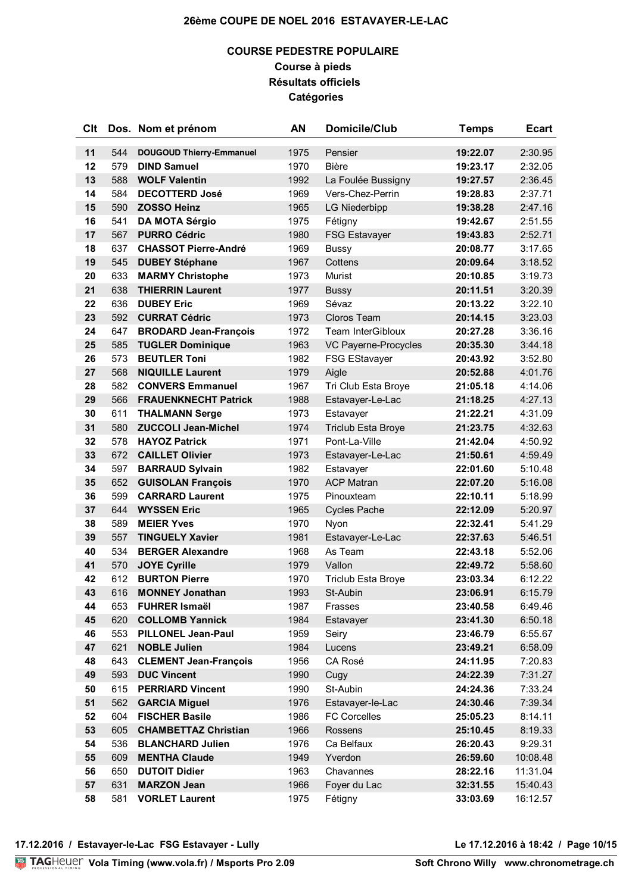### **COURSE PEDESTRE POPULAIRE Course à pieds Résultats officiels Catégories**

| Clt      |            | Dos. Nom et prénom                              | AN           | <b>Domicile/Club</b>                    | <b>Temps</b>         | <b>Ecart</b>       |
|----------|------------|-------------------------------------------------|--------------|-----------------------------------------|----------------------|--------------------|
| 11       | 544        | <b>DOUGOUD Thierry-Emmanuel</b>                 | 1975         | Pensier                                 | 19:22.07             | 2:30.95            |
| 12       | 579        | <b>DIND Samuel</b>                              | 1970         | <b>Bière</b>                            | 19:23.17             | 2:32.05            |
| 13       | 588        | <b>WOLF Valentin</b>                            | 1992         | La Foulée Bussigny                      | 19:27.57             | 2:36.45            |
| 14       | 584        | <b>DECOTTERD José</b>                           | 1969         | Vers-Chez-Perrin                        | 19:28.83             | 2:37.71            |
| 15       | 590        | <b>ZOSSO Heinz</b>                              | 1965         | <b>LG Niederbipp</b>                    | 19:38.28             | 2:47.16            |
| 16       | 541        | <b>DA MOTA Sérgio</b>                           | 1975         | Fétigny                                 | 19:42.67             | 2:51.55            |
| 17       | 567        | <b>PURRO Cédric</b>                             | 1980         | <b>FSG Estavayer</b>                    | 19:43.83             | 2:52.71            |
| 18       | 637        | <b>CHASSOT Pierre-André</b>                     | 1969         | <b>Bussy</b>                            | 20:08.77             | 3:17.65            |
| 19       | 545        | <b>DUBEY Stéphane</b>                           | 1967         | Cottens                                 | 20:09.64             | 3:18.52            |
| 20       | 633        | <b>MARMY Christophe</b>                         | 1973         | Murist                                  | 20:10.85             | 3:19.73            |
| 21       | 638        | <b>THIERRIN Laurent</b>                         | 1977         | <b>Bussy</b>                            | 20:11.51             | 3:20.39            |
| 22       | 636        | <b>DUBEY Eric</b>                               | 1969         | Sévaz                                   | 20:13.22             | 3:22.10            |
| 23       | 592        | <b>CURRAT Cédric</b>                            | 1973         | <b>Cloros Team</b>                      | 20:14.15             | 3:23.03            |
| 24       | 647        | <b>BRODARD Jean-François</b>                    | 1972         | <b>Team InterGibloux</b>                | 20:27.28             | 3:36.16            |
| 25       | 585        | <b>TUGLER Dominique</b>                         | 1963         | VC Payerne-Procycles                    | 20:35.30             | 3:44.18            |
| 26       | 573        | <b>BEUTLER Toni</b>                             | 1982         | FSG EStavayer                           | 20:43.92             | 3:52.80            |
| 27       | 568        | <b>NIQUILLE Laurent</b>                         | 1979         | Aigle                                   | 20:52.88             | 4:01.76            |
| 28       | 582        | <b>CONVERS Emmanuel</b>                         | 1967         | Tri Club Esta Broye                     | 21:05.18             | 4:14.06            |
| 29       | 566        | <b>FRAUENKNECHT Patrick</b>                     | 1988         | Estavayer-Le-Lac                        | 21:18.25             | 4:27.13            |
| 30       | 611        | <b>THALMANN Serge</b>                           | 1973         | Estavayer                               | 21:22.21             | 4:31.09            |
| 31       | 580        | <b>ZUCCOLI Jean-Michel</b>                      | 1974         | Triclub Esta Broye                      | 21:23.75             | 4:32.63            |
| 32       | 578        | <b>HAYOZ Patrick</b>                            | 1971         | Pont-La-Ville                           | 21:42.04             | 4:50.92            |
| 33       | 672        | <b>CAILLET Olivier</b>                          | 1973         | Estavayer-Le-Lac                        | 21:50.61             | 4:59.49            |
| 34       | 597        | <b>BARRAUD Sylvain</b>                          | 1982         | Estavayer                               | 22:01.60             | 5:10.48            |
| 35       | 652        | <b>GUISOLAN François</b>                        | 1970         | <b>ACP Matran</b>                       | 22:07.20             | 5:16.08            |
| 36       | 599        | <b>CARRARD Laurent</b>                          | 1975         | Pinouxteam                              | 22:10.11             | 5:18.99            |
| 37       | 644        | <b>WYSSEN Eric</b>                              | 1965         | <b>Cycles Pache</b>                     | 22:12.09             | 5:20.97            |
| 38       | 589        | <b>MEIER Yves</b>                               | 1970         | Nyon                                    | 22:32.41             | 5:41.29            |
| 39       | 557        | <b>TINGUELY Xavier</b>                          | 1981         | Estavayer-Le-Lac                        | 22:37.63             | 5:46.51            |
| 40       | 534        | <b>BERGER Alexandre</b>                         | 1968         | As Team                                 | 22:43.18             | 5:52.06            |
| 41       | 570        | <b>JOYE Cyrille</b>                             | 1979         | Vallon                                  | 22:49.72             | 5:58.60            |
| 42       | 612        | <b>BURTON Pierre</b>                            | 1970         | <b>Triclub Esta Broye</b>               | 23:03.34             | 6:12.22            |
| 43       | 616        | <b>MONNEY Jonathan</b>                          | 1993         | St-Aubin                                | 23:06.91             | 6:15.79            |
| 44       | 653        | <b>FUHRER Ismaël</b>                            | 1987         | Frasses                                 | 23:40.58             | 6:49.46            |
| 45       | 620        | <b>COLLOMB Yannick</b>                          | 1984         | Estavayer                               | 23:41.30             | 6:50.18            |
| 46       | 553        | <b>PILLONEL Jean-Paul</b>                       | 1959         | Seiry                                   | 23:46.79             | 6:55.67            |
| 47       | 621        | <b>NOBLE Julien</b>                             | 1984         | Lucens                                  | 23:49.21             | 6:58.09            |
| 48       | 643        | <b>CLEMENT Jean-François</b>                    | 1956         | CA Rosé                                 | 24:11.95             | 7:20.83            |
| 49       | 593        | <b>DUC Vincent</b>                              | 1990         | Cugy<br>St-Aubin                        | 24:22.39             | 7:31.27            |
| 50       | 615        | <b>PERRIARD Vincent</b><br><b>GARCIA Miguel</b> | 1990         |                                         | 24:24.36             | 7:33.24            |
| 51<br>52 | 562<br>604 | <b>FISCHER Basile</b>                           | 1976<br>1986 | Estavayer-le-Lac<br><b>FC Corcelles</b> | 24:30.46<br>25:05.23 | 7:39.34<br>8:14.11 |
| 53       | 605        | <b>CHAMBETTAZ Christian</b>                     | 1966         | Rossens                                 | 25:10.45             | 8:19.33            |
| 54       | 536        | <b>BLANCHARD Julien</b>                         | 1976         | Ca Belfaux                              | 26:20.43             | 9:29.31            |
| 55       | 609        | <b>MENTHA Claude</b>                            | 1949         | Yverdon                                 | 26:59.60             | 10:08.48           |
| 56       | 650        | <b>DUTOIT Didier</b>                            | 1963         | Chavannes                               | 28:22.16             | 11:31.04           |
| 57       | 631        | <b>MARZON Jean</b>                              | 1966         | Foyer du Lac                            | 32:31.55             | 15:40.43           |
| 58       | 581        | <b>VORLET Laurent</b>                           | 1975         | Fétigny                                 | 33:03.69             | 16:12.57           |
|          |            |                                                 |              |                                         |                      |                    |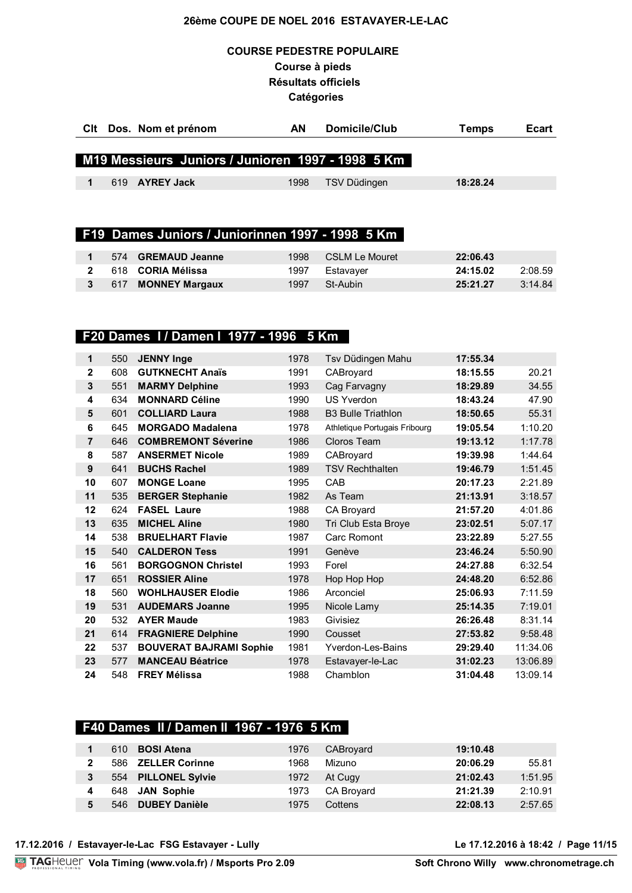### **COURSE PEDESTRE POPULAIRE Course à pieds Résultats officiels Catégories**

| CIt Dos. Nom et prénom                            | AN   | Domicile/Club | Ecart<br>Temps |
|---------------------------------------------------|------|---------------|----------------|
|                                                   |      |               |                |
| M19 Messieurs Juniors / Junioren 1997 - 1998 5 Km |      |               |                |
| 619 AYREY Jack                                    | 1998 | TSV Düdingen  | 18:28.24       |

### **F19 Dames Juniors / Juniorinnen 1997 - 1998 5 Km**

|  | 574 GREMAUD Jeanne       | 1998 | CSLM Le Mouret | 22:06.43 |         |
|--|--------------------------|------|----------------|----------|---------|
|  | 618 <b>CORIA Mélissa</b> | 1997 | Estavaver      | 24:15.02 | 2:08.59 |
|  | 617 MONNEY Margaux       | 1997 | St-Aubin       | 25:21.27 | 3:14.84 |

### **F20 Dames I / Damen I 1977 - 1996 5 Km**

| 1              | 550 | <b>JENNY Inge</b>              | 1978 | Tsv Düdingen Mahu             | 17:55.34 |          |
|----------------|-----|--------------------------------|------|-------------------------------|----------|----------|
| $\mathbf 2$    | 608 | <b>GUTKNECHT Anaïs</b>         | 1991 | CABroyard                     | 18:15.55 | 20.21    |
| $\mathbf{3}$   | 551 | <b>MARMY Delphine</b>          | 1993 | Cag Farvagny                  | 18:29.89 | 34.55    |
| 4              | 634 | <b>MONNARD Céline</b>          | 1990 | <b>US Yverdon</b>             | 18:43.24 | 47.90    |
| 5              | 601 | <b>COLLIARD Laura</b>          | 1988 | <b>B3 Bulle Triathlon</b>     | 18:50.65 | 55.31    |
| 6              | 645 | <b>MORGADO Madalena</b>        | 1978 | Athletique Portugais Fribourg | 19:05.54 | 1:10.20  |
| $\overline{7}$ | 646 | <b>COMBREMONT Séverine</b>     | 1986 | Cloros Team                   | 19:13.12 | 1:17.78  |
| 8              | 587 | <b>ANSERMET Nicole</b>         | 1989 | CABroyard                     | 19:39.98 | 1:44.64  |
| 9              | 641 | <b>BUCHS Rachel</b>            | 1989 | <b>TSV Rechthalten</b>        | 19:46.79 | 1:51.45  |
| 10             | 607 | <b>MONGE Loane</b>             | 1995 | CAB                           | 20:17.23 | 2:21.89  |
| 11             | 535 | <b>BERGER Stephanie</b>        | 1982 | As Team                       | 21:13.91 | 3:18.57  |
| 12             | 624 | <b>FASEL Laure</b>             | 1988 | CA Broyard                    | 21:57.20 | 4:01.86  |
| 13             | 635 | <b>MICHEL Aline</b>            | 1980 | Tri Club Esta Broye           | 23:02.51 | 5:07.17  |
| 14             | 538 | <b>BRUELHART Flavie</b>        | 1987 | Carc Romont                   | 23:22.89 | 5:27.55  |
| 15             | 540 | <b>CALDERON Tess</b>           | 1991 | Genève                        | 23:46.24 | 5:50.90  |
| 16             | 561 | <b>BORGOGNON Christel</b>      | 1993 | Forel                         | 24:27.88 | 6:32.54  |
| 17             | 651 | <b>ROSSIER Aline</b>           | 1978 | Hop Hop Hop                   | 24:48.20 | 6:52.86  |
| 18             | 560 | <b>WOHLHAUSER Elodie</b>       | 1986 | Arconciel                     | 25:06.93 | 7:11.59  |
| 19             | 531 | <b>AUDEMARS Joanne</b>         | 1995 | Nicole Lamy                   | 25:14.35 | 7:19.01  |
| 20             | 532 | <b>AYER Maude</b>              | 1983 | Givisiez                      | 26:26.48 | 8:31.14  |
| 21             | 614 | <b>FRAGNIERE Delphine</b>      | 1990 | Cousset                       | 27:53.82 | 9:58.48  |
| 22             | 537 | <b>BOUVERAT BAJRAMI Sophie</b> | 1981 | <b>Yverdon-Les-Bains</b>      | 29:29.40 | 11:34.06 |
| 23             | 577 | <b>MANCEAU Béatrice</b>        | 1978 | Estavayer-le-Lac              | 31:02.23 | 13:06.89 |
| 24             | 548 | <b>FREY Mélissa</b>            | 1988 | Chamblon                      | 31:04.48 | 13:09.14 |

# **F40 Dames II / Damen II 1967 - 1976 5 Km**

| 610 | <b>BOSI Atena</b>    | 1976 | CABroyard  | 19:10.48 |         |
|-----|----------------------|------|------------|----------|---------|
|     | 586 ZELLER Corinne   | 1968 | Mizuno     | 20:06.29 | 55.81   |
|     | 554 PILLONEL Sylvie  | 1972 | At Cugy    | 21:02.43 | 1:51.95 |
|     | 648 JAN Sophie       | 1973 | CA Broyard | 21:21.39 | 2:10.91 |
| 546 | <b>DUBEY Danièle</b> | 1975 | Cottens    | 22:08.13 | 2:57.65 |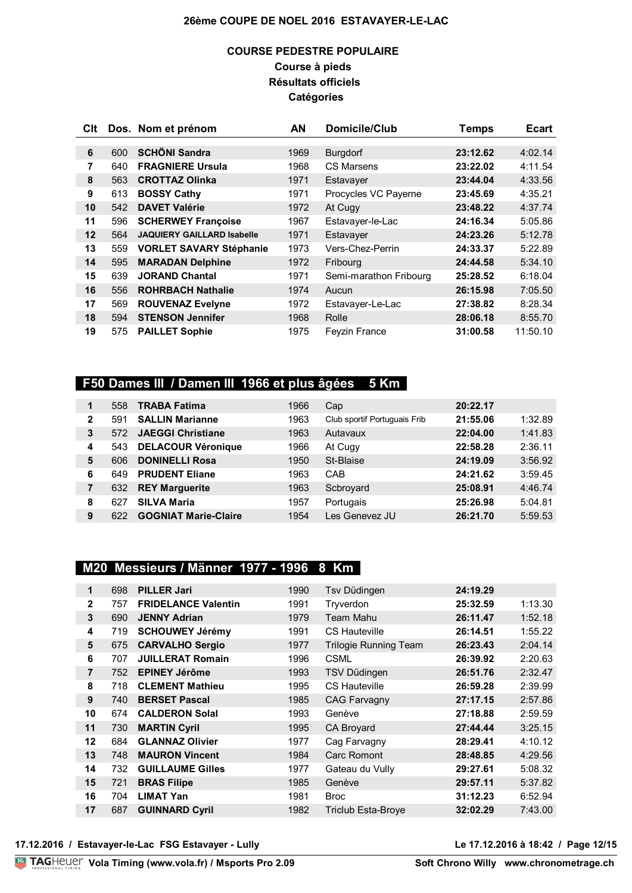### **COURSE PEDESTRE POPULAIRE Course à pieds Résultats officiels Catégories**

| Clt               |     | Dos. Nom et prénom                | AN   | Domicile/Club          | <b>Temps</b> | <b>Ecart</b> |
|-------------------|-----|-----------------------------------|------|------------------------|--------------|--------------|
|                   |     |                                   |      |                        |              |              |
| 6                 | 600 | <b>SCHÖNI Sandra</b>              | 1969 | <b>Burgdorf</b>        | 23:12.62     | 4:02.14      |
| 7                 | 640 | <b>FRAGNIERE Ursula</b>           | 1968 | <b>CS Marsens</b>      | 23:22.02     | 4:11.54      |
| 8                 | 563 | <b>CROTTAZ Olinka</b>             | 1971 | Estavayer              | 23:44.04     | 4:33.56      |
| 9                 | 613 | <b>BOSSY Cathy</b>                | 1971 | Procycles VC Payerne   | 23:45.69     | 4:35.21      |
| 10                | 542 | <b>DAVET Valérie</b>              | 1972 | At Cugy                | 23:48.22     | 4:37.74      |
| 11                | 596 | <b>SCHERWEY Françoise</b>         | 1967 | Estavayer-le-Lac       | 24:16.34     | 5:05.86      |
| $12 \overline{ }$ | 564 | <b>JAQUIERY GAILLARD Isabelle</b> | 1971 | Estavayer              | 24:23.26     | 5:12.78      |
| 13                | 559 | <b>VORLET SAVARY Stéphanie</b>    | 1973 | Vers-Chez-Perrin       | 24:33.37     | 5:22.89      |
| 14                | 595 | <b>MARADAN Delphine</b>           | 1972 | Fribourg               | 24:44.58     | 5:34.10      |
| 15                | 639 | <b>JORAND Chantal</b>             | 1971 | Semi-marathon Fribourg | 25:28.52     | 6:18.04      |
| 16                | 556 | <b>ROHRBACH Nathalie</b>          | 1974 | Aucun                  | 26:15.98     | 7:05.50      |
| 17                | 569 | <b>ROUVENAZ Evelyne</b>           | 1972 | Estavayer-Le-Lac       | 27:38.82     | 8:28.34      |
| 18                | 594 | <b>STENSON Jennifer</b>           | 1968 | Rolle                  | 28:06.18     | 8:55.70      |
| 19                | 575 | <b>PAILLET Sophie</b>             | 1975 | <b>Feyzin France</b>   | 31:00.58     | 11:50.10     |

# **F50 Dames III / Damen III 1966 et plus âgées 5 Km**

| 1            | 558 | <b>TRABA Fatima</b>         | 1966 | Cap                          | 20:22.17 |         |
|--------------|-----|-----------------------------|------|------------------------------|----------|---------|
| $\mathbf{2}$ | 591 | <b>SALLIN Marianne</b>      | 1963 | Club sportif Portuguais Frib | 21:55.06 | 1:32.89 |
| 3            | 572 | <b>JAEGGI Christiane</b>    | 1963 | Autavaux                     | 22:04.00 | 1:41.83 |
| 4            | 543 | <b>DELACOUR Véronique</b>   | 1966 | At Cugy                      | 22:58.28 | 2:36.11 |
| 5            | 606 | <b>DONINELLI Rosa</b>       | 1950 | St-Blaise                    | 24:19.09 | 3:56.92 |
| 6            | 649 | <b>PRUDENT Eliane</b>       | 1963 | CAB                          | 24:21.62 | 3:59.45 |
|              | 632 | <b>REY Marguerite</b>       | 1963 | Scbroyard                    | 25:08.91 | 4:46.74 |
| 8            | 627 | <b>SILVA Maria</b>          | 1957 | Portugais                    | 25:26.98 | 5:04.81 |
| 9            | 622 | <b>GOGNIAT Marie-Claire</b> | 1954 | Les Genevez JU               | 26:21.70 | 5:59.53 |
|              |     |                             |      |                              |          |         |

## **M20 Messieurs / Männer 1977 - 1996 8 Km**

| $\mathbf 1$    | 698 | <b>PILLER Jari</b>         | 1990 | Tsv Düdingen                 | 24:19.29 |         |
|----------------|-----|----------------------------|------|------------------------------|----------|---------|
| $\mathbf{2}$   | 757 | <b>FRIDELANCE Valentin</b> | 1991 | Tryverdon                    | 25:32.59 | 1:13.30 |
| 3              | 690 | <b>JENNY Adrian</b>        | 1979 | <b>Team Mahu</b>             | 26:11.47 | 1:52.18 |
| 4              | 719 | <b>SCHOUWEY Jérémy</b>     | 1991 | <b>CS Hauteville</b>         | 26:14.51 | 1:55.22 |
| 5              | 675 | <b>CARVALHO Sergio</b>     | 1977 | <b>Trilogie Running Team</b> | 26:23.43 | 2:04.14 |
| 6              | 707 | <b>JUILLERAT Romain</b>    | 1996 | <b>CSML</b>                  | 26:39.92 | 2:20.63 |
| $\overline{7}$ | 752 | <b>EPINEY Jérôme</b>       | 1993 | TSV Düdingen                 | 26:51.76 | 2:32.47 |
| 8              | 718 | <b>CLEMENT Mathieu</b>     | 1995 | <b>CS Hauteville</b>         | 26:59.28 | 2:39.99 |
| 9              | 740 | <b>BERSET Pascal</b>       | 1985 | <b>CAG Farvagny</b>          | 27:17.15 | 2:57.86 |
| 10             | 674 | <b>CALDERON Solal</b>      | 1993 | Genève                       | 27:18.88 | 2:59.59 |
| 11             | 730 | <b>MARTIN Cyril</b>        | 1995 | CA Broyard                   | 27:44.44 | 3:25.15 |
| 12             | 684 | <b>GLANNAZ Olivier</b>     | 1977 | Cag Farvagny                 | 28:29.41 | 4:10.12 |
| 13             | 748 | <b>MAURON Vincent</b>      | 1984 | Carc Romont                  | 28:48.85 | 4:29.56 |
| 14             | 732 | <b>GUILLAUME Gilles</b>    | 1977 | Gateau du Vully              | 29:27.61 | 5:08.32 |
| 15             | 721 | <b>BRAS Filipe</b>         | 1985 | Genève                       | 29:57.11 | 5:37.82 |
| 16             | 704 | <b>LIMAT Yan</b>           | 1981 | <b>Broc</b>                  | 31:12.23 | 6:52.94 |
| 17             | 687 | <b>GUINNARD Cyril</b>      | 1982 | <b>Triclub Esta-Broye</b>    | 32:02.29 | 7:43.00 |

**17.12.2016 / Estavayer-le-Lac FSG Estavayer - Lully Le 17.12.2016 à 18:42 / Page 12/15**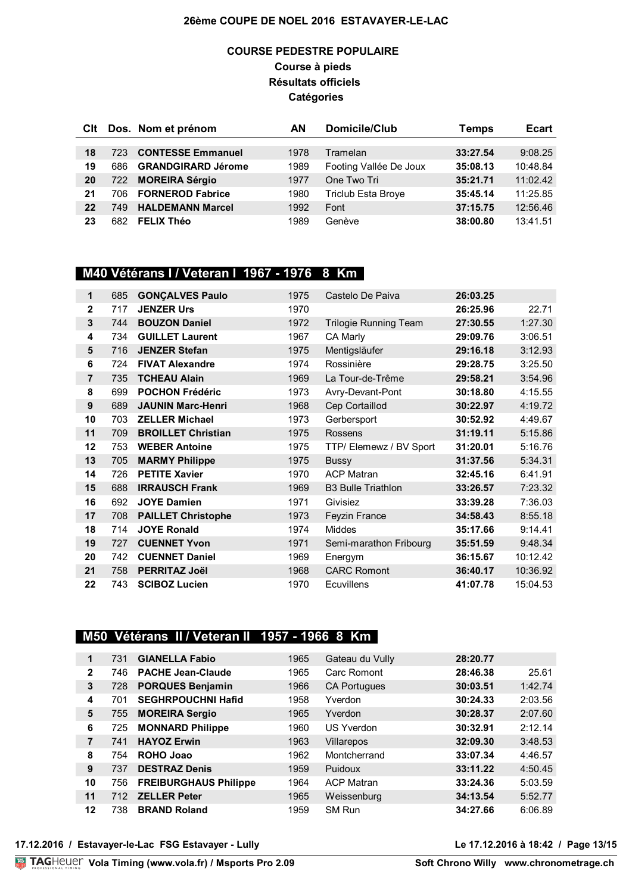### **COURSE PEDESTRE POPULAIRE Course à pieds Résultats officiels Catégories**

| Clt |      | Dos. Nom et prénom        | AΝ   | Domicile/Club             | Temps    | <b>Ecart</b> |
|-----|------|---------------------------|------|---------------------------|----------|--------------|
|     |      |                           |      |                           |          |              |
| 18  | 723  | <b>CONTESSE Emmanuel</b>  | 1978 | Tramelan                  | 33:27.54 | 9:08.25      |
| 19  | 686  | <b>GRANDGIRARD Jérome</b> | 1989 | Footing Vallée De Joux    | 35:08.13 | 10:48.84     |
| 20  | 722  | <b>MOREIRA Sérgio</b>     | 1977 | One Two Tri               | 35:21.71 | 11:02.42     |
| 21  | 706  | <b>FORNEROD Fabrice</b>   | 1980 | <b>Triclub Esta Broye</b> | 35:45.14 | 11:25.85     |
| 22  | 749. | <b>HALDEMANN Marcel</b>   | 1992 | Font                      | 37:15.75 | 12:56.46     |
| 23  | 682  | <b>FELIX Théo</b>         | 1989 | Genève                    | 38:00.80 | 13:41.51     |

# **M40 Vétérans I / Veteran I 1967 - 1976 8 Km**

| 1              | 685 | <b>GONÇALVES Paulo</b>    | 1975 | Castelo De Paiva             | 26:03.25 |          |
|----------------|-----|---------------------------|------|------------------------------|----------|----------|
| $\mathbf{2}$   | 717 | <b>JENZER Urs</b>         | 1970 |                              | 26:25.96 | 22.71    |
| 3              | 744 | <b>BOUZON Daniel</b>      | 1972 | <b>Trilogie Running Team</b> | 27:30.55 | 1:27.30  |
| 4              | 734 | <b>GUILLET Laurent</b>    | 1967 | CA Marly                     | 29:09.76 | 3:06.51  |
| 5              | 716 | <b>JENZER Stefan</b>      | 1975 | Mentigsläufer                | 29:16.18 | 3:12.93  |
| 6              | 724 | <b>FIVAT Alexandre</b>    | 1974 | Rossinière                   | 29:28.75 | 3:25.50  |
| $\overline{7}$ | 735 | <b>TCHEAU Alain</b>       | 1969 | La Tour-de-Trême             | 29:58.21 | 3:54.96  |
| 8              | 699 | <b>POCHON Frédéric</b>    | 1973 | Avry-Devant-Pont             | 30:18.80 | 4:15.55  |
| 9              | 689 | <b>JAUNIN Marc-Henri</b>  | 1968 | Cep Cortaillod               | 30:22.97 | 4:19.72  |
| 10             | 703 | <b>ZELLER Michael</b>     | 1973 | Gerbersport                  | 30:52.92 | 4:49.67  |
| 11             | 709 | <b>BROILLET Christian</b> | 1975 | <b>Rossens</b>               | 31:19.11 | 5:15.86  |
| 12             | 753 | <b>WEBER Antoine</b>      | 1975 | TTP/ Elemewz / BV Sport      | 31:20.01 | 5:16.76  |
| 13             | 705 | <b>MARMY Philippe</b>     | 1975 | <b>Bussy</b>                 | 31:37.56 | 5:34.31  |
| 14             | 726 | <b>PETITE Xavier</b>      | 1970 | <b>ACP Matran</b>            | 32:45.16 | 6:41.91  |
| 15             | 688 | <b>IRRAUSCH Frank</b>     | 1969 | <b>B3 Bulle Triathlon</b>    | 33:26.57 | 7:23.32  |
| 16             | 692 | <b>JOYE Damien</b>        | 1971 | Givisiez                     | 33:39.28 | 7:36.03  |
| 17             | 708 | <b>PAILLET Christophe</b> | 1973 | Feyzin France                | 34:58.43 | 8:55.18  |
| 18             | 714 | <b>JOYE Ronald</b>        | 1974 | <b>Middes</b>                | 35:17.66 | 9:14.41  |
| 19             | 727 | <b>CUENNET Yvon</b>       | 1971 | Semi-marathon Fribourg       | 35:51.59 | 9:48.34  |
| 20             | 742 | <b>CUENNET Daniel</b>     | 1969 | Energym                      | 36:15.67 | 10:12.42 |
| 21             | 758 | <b>PERRITAZ Joël</b>      | 1968 | <b>CARC Romont</b>           | 36:40.17 | 10:36.92 |
| 22             | 743 | <b>SCIBOZ Lucien</b>      | 1970 | <b>Ecuvillens</b>            | 41:07.78 | 15:04.53 |

## **M50 Vétérans II / Veteran II 1957 - 1966 8 Km**

| $\mathbf 1$  | 731 | <b>GIANELLA Fabio</b>        | 1965 | Gateau du Vully     | 28:20.77 |         |
|--------------|-----|------------------------------|------|---------------------|----------|---------|
| $\mathbf{2}$ | 746 | <b>PACHE Jean-Claude</b>     | 1965 | Carc Romont         | 28:46.38 | 25.61   |
| 3            | 728 | <b>PORQUES Benjamin</b>      | 1966 | <b>CA Portugues</b> | 30:03.51 | 1:42.74 |
| 4            | 701 | <b>SEGHRPOUCHNI Hafid</b>    | 1958 | Yverdon             | 30:24.33 | 2:03.56 |
| 5            | 755 | <b>MOREIRA Sergio</b>        | 1965 | Yverdon             | 30:28.37 | 2:07.60 |
| 6            | 725 | <b>MONNARD Philippe</b>      | 1960 | US Yverdon          | 30:32.91 | 2:12.14 |
| 7            | 741 | <b>HAYOZ Erwin</b>           | 1963 | Villarepos          | 32:09.30 | 3:48.53 |
| 8            | 754 | ROHO Joao                    | 1962 | Montcherrand        | 33:07.34 | 4:46.57 |
| 9            | 737 | <b>DESTRAZ Denis</b>         | 1959 | Puidoux             | 33:11.22 | 4:50.45 |
| 10           | 756 | <b>FREIBURGHAUS Philippe</b> | 1964 | <b>ACP Matran</b>   | 33:24.36 | 5:03.59 |
| 11           | 712 | <b>ZELLER Peter</b>          | 1965 | Weissenburg         | 34:13.54 | 5:52.77 |
| 12           | 738 | <b>BRAND Roland</b>          | 1959 | SM Run              | 34:27.66 | 6:06.89 |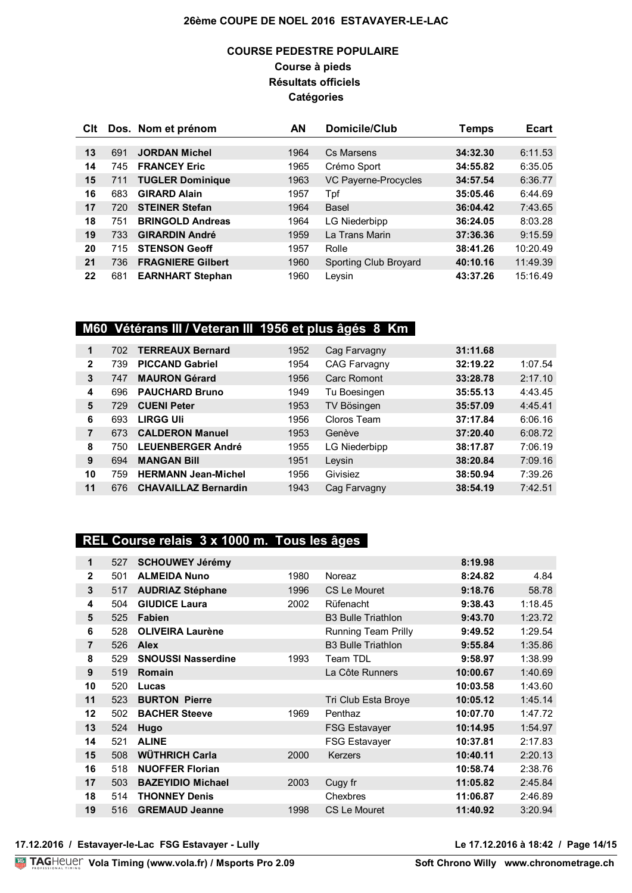### **COURSE PEDESTRE POPULAIRE Course à pieds Résultats officiels Catégories**

| CIt |     | Dos. Nom et prénom       | AN   | Domicile/Club         | Temps    | <b>Ecart</b> |
|-----|-----|--------------------------|------|-----------------------|----------|--------------|
|     |     |                          |      |                       |          |              |
| 13  | 691 | <b>JORDAN Michel</b>     | 1964 | Cs Marsens            | 34:32.30 | 6:11.53      |
| 14  | 745 | <b>FRANCEY Eric</b>      | 1965 | Crémo Sport           | 34:55.82 | 6:35.05      |
| 15  | 711 | <b>TUGLER Dominique</b>  | 1963 | VC Payerne-Procycles  | 34:57.54 | 6:36.77      |
| 16  | 683 | <b>GIRARD Alain</b>      | 1957 | Tpf                   | 35:05.46 | 6:44.69      |
| 17  | 720 | <b>STEINER Stefan</b>    | 1964 | <b>Basel</b>          | 36:04.42 | 7:43.65      |
| 18  | 751 | <b>BRINGOLD Andreas</b>  | 1964 | LG Niederbipp         | 36:24.05 | 8:03.28      |
| 19  | 733 | <b>GIRARDIN André</b>    | 1959 | La Trans Marin        | 37:36.36 | 9:15.59      |
| 20  | 715 | <b>STENSON Geoff</b>     | 1957 | Rolle                 | 38:41.26 | 10:20.49     |
| 21  | 736 | <b>FRAGNIERE Gilbert</b> | 1960 | Sporting Club Broyard | 40:10.16 | 11:49.39     |
| 22  | 681 | <b>EARNHART Stephan</b>  | 1960 | Leysin                | 43:37.26 | 15:16.49     |

## **M60 Vétérans III / Veteran III 1956 et plus âgés 8 Km**

| 1            | 702 | <b>TERREAUX Bernard</b>     | 1952 | Cag Farvagny         | 31:11.68 |         |
|--------------|-----|-----------------------------|------|----------------------|----------|---------|
| $\mathbf{2}$ | 739 | <b>PICCAND Gabriel</b>      | 1954 | <b>CAG Farvagny</b>  | 32:19.22 | 1:07.54 |
| 3            | 747 | <b>MAURON Gérard</b>        | 1956 | Carc Romont          | 33:28.78 | 2:17.10 |
| 4            | 696 | <b>PAUCHARD Bruno</b>       | 1949 | Tu Boesingen         | 35:55.13 | 4:43.45 |
| 5            | 729 | <b>CUENI Peter</b>          | 1953 | TV Bösingen          | 35:57.09 | 4:45.41 |
| 6            | 693 | <b>LIRGG Uli</b>            | 1956 | Cloros Team          | 37:17.84 | 6:06.16 |
|              | 673 | <b>CALDERON Manuel</b>      | 1953 | Genève               | 37:20.40 | 6:08.72 |
| 8            | 750 | <b>LEUENBERGER André</b>    | 1955 | <b>LG Niederbipp</b> | 38:17.87 | 7:06.19 |
| 9            | 694 | <b>MANGAN Bill</b>          | 1951 | Leysin               | 38:20.84 | 7:09.16 |
| 10           | 759 | <b>HERMANN Jean-Michel</b>  | 1956 | Givisiez             | 38:50.94 | 7:39.26 |
| 11           | 676 | <b>CHAVAILLAZ Bernardin</b> | 1943 | Cag Farvagny         | 38:54.19 | 7:42.51 |

### **REL Course relais 3 x 1000 m. Tous les âges**

| 1            | 527 | <b>SCHOUWEY Jérémy</b>    |      |                           | 8:19.98  |         |
|--------------|-----|---------------------------|------|---------------------------|----------|---------|
| $\mathbf{2}$ | 501 | <b>ALMEIDA Nuno</b>       | 1980 | Noreaz                    | 8:24.82  | 4.84    |
| 3            | 517 | <b>AUDRIAZ Stéphane</b>   | 1996 | CS Le Mouret              | 9:18.76  | 58.78   |
| 4            | 504 | <b>GIUDICE Laura</b>      | 2002 | Rüfenacht                 | 9:38.43  | 1:18.45 |
| 5            | 525 | Fabien                    |      | <b>B3 Bulle Triathlon</b> | 9:43.70  | 1:23.72 |
| 6            | 528 | <b>OLIVEIRA Laurène</b>   |      | Running Team Prilly       | 9:49.52  | 1:29.54 |
| 7            | 526 | <b>Alex</b>               |      | <b>B3 Bulle Triathlon</b> | 9:55.84  | 1:35.86 |
| 8            | 529 | <b>SNOUSSI Nasserdine</b> | 1993 | Team TDL                  | 9:58.97  | 1:38.99 |
| 9            | 519 | <b>Romain</b>             |      | La Côte Runners           | 10:00.67 | 1:40.69 |
| 10           | 520 | Lucas                     |      |                           | 10:03.58 | 1:43.60 |
| 11           | 523 | <b>BURTON Pierre</b>      |      | Tri Club Esta Broye       | 10:05.12 | 1:45.14 |
| 12           | 502 | <b>BACHER Steeve</b>      | 1969 | Penthaz                   | 10:07.70 | 1:47.72 |
| 13           | 524 | Hugo                      |      | <b>FSG Estavayer</b>      | 10:14.95 | 1:54.97 |
| 14           | 521 | <b>ALINE</b>              |      | FSG Estavayer             | 10:37.81 | 2:17.83 |
| 15           | 508 | <b>WÜTHRICH Carla</b>     | 2000 | <b>Kerzers</b>            | 10:40.11 | 2:20.13 |
| 16           | 518 | <b>NUOFFER Florian</b>    |      |                           | 10:58.74 | 2:38.76 |
| 17           | 503 | <b>BAZEYIDIO Michael</b>  | 2003 | Cugy fr                   | 11:05.82 | 2:45.84 |
| 18           | 514 | <b>THONNEY Denis</b>      |      | <b>Chexbres</b>           | 11:06.87 | 2:46.89 |
| 19           | 516 | <b>GREMAUD Jeanne</b>     | 1998 | <b>CS Le Mouret</b>       | 11:40.92 | 3:20.94 |
|              |     |                           |      |                           |          |         |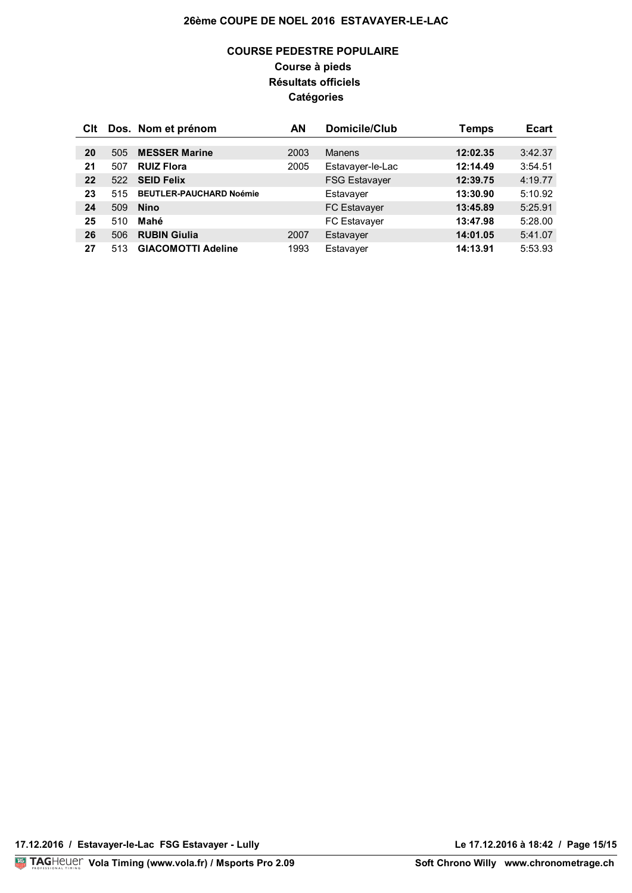### **COURSE PEDESTRE POPULAIRE Course à pieds Résultats officiels Catégories**

| CIt |     | Dos. Nom et prénom             | ΑN   | Domicile/Club        | Temps    | <b>Ecart</b> |
|-----|-----|--------------------------------|------|----------------------|----------|--------------|
|     |     |                                |      |                      |          |              |
| 20  | 505 | <b>MESSER Marine</b>           | 2003 | Manens               | 12:02.35 | 3:42.37      |
| 21  | 507 | <b>RUIZ Flora</b>              | 2005 | Estavayer-le-Lac     | 12:14.49 | 3:54.51      |
| 22  | 522 | <b>SEID Felix</b>              |      | <b>FSG Estavayer</b> | 12:39.75 | 4:19.77      |
| 23  | 515 | <b>BEUTLER-PAUCHARD Noémie</b> |      | Estavayer            | 13:30.90 | 5:10.92      |
| 24  | 509 | <b>Nino</b>                    |      | <b>FC Estavayer</b>  | 13:45.89 | 5:25.91      |
| 25  | 510 | Mahé                           |      | FC Estavayer         | 13:47.98 | 5:28.00      |
| 26  | 506 | <b>RUBIN Giulia</b>            | 2007 | Estavayer            | 14:01.05 | 5:41.07      |
| 27  | 513 | <b>GIACOMOTTI Adeline</b>      | 1993 | Estavayer            | 14:13.91 | 5:53.93      |

**17.12.2016 / Estavayer-le-Lac FSG Estavayer - Lully Le 17.12.2016 à 18:42 / Page 15/15**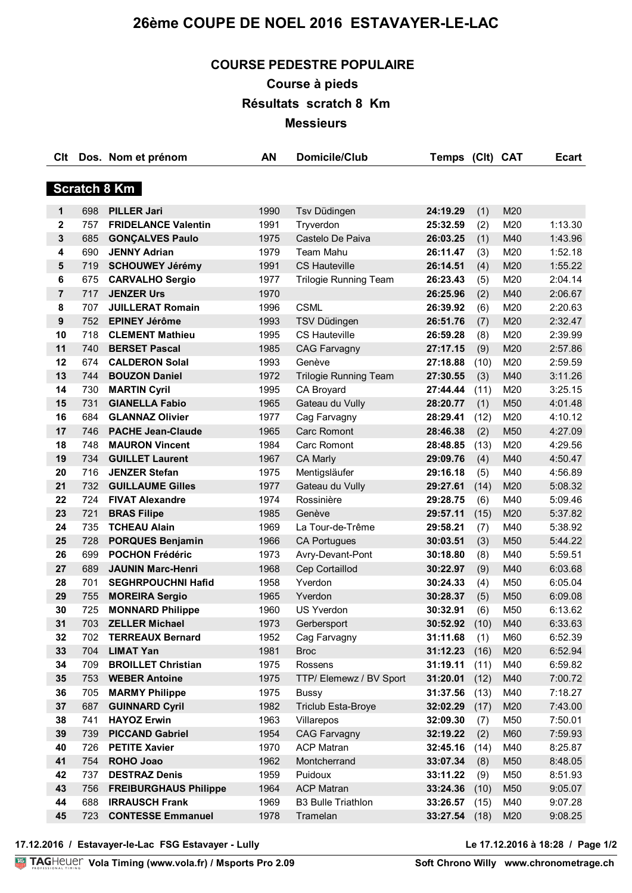# **COURSE PEDESTRE POPULAIRE**

**Course à pieds** 

**Résultats scratch 8 Km**

**Messieurs**

| Clt                 |            | Dos. Nom et prénom                       | <b>AN</b>    | <b>Domicile/Club</b>                     | Temps                | (Clt) CAT   |            | <b>Ecart</b>       |  |
|---------------------|------------|------------------------------------------|--------------|------------------------------------------|----------------------|-------------|------------|--------------------|--|
|                     |            |                                          |              |                                          |                      |             |            |                    |  |
| <b>Scratch 8 Km</b> |            |                                          |              |                                          |                      |             |            |                    |  |
| 1                   | 698        | <b>PILLER Jari</b>                       | 1990         | Tsv Düdingen                             | 24:19.29             | (1)         | M20        |                    |  |
| $\mathbf{2}$        | 757        | <b>FRIDELANCE Valentin</b>               | 1991         | Tryverdon                                | 25:32.59             | (2)         | M20        | 1:13.30            |  |
| 3                   | 685        | <b>GONÇALVES Paulo</b>                   | 1975         | Castelo De Paiva                         | 26:03.25             | (1)         | M40        | 1:43.96            |  |
| 4                   | 690        | <b>JENNY Adrian</b>                      | 1979         | <b>Team Mahu</b>                         | 26:11.47             | (3)         | M20        | 1:52.18            |  |
| 5                   | 719        | <b>SCHOUWEY Jérémy</b>                   | 1991         | <b>CS Hauteville</b>                     | 26:14.51             | (4)         | M20        | 1:55.22            |  |
| 6                   | 675        | <b>CARVALHO Sergio</b>                   | 1977         | <b>Trilogie Running Team</b>             | 26:23.43             | (5)         | M20        | 2:04.14            |  |
| $\overline{7}$      | 717        | <b>JENZER Urs</b>                        | 1970         |                                          | 26:25.96             | (2)         | M40        | 2:06.67            |  |
| 8                   | 707        | <b>JUILLERAT Romain</b>                  | 1996         | <b>CSML</b>                              | 26:39.92             | (6)         | M20        | 2:20.63            |  |
| 9                   | 752        | <b>EPINEY Jérôme</b>                     | 1993         | TSV Düdingen                             | 26:51.76             | (7)         | M20        | 2:32.47            |  |
| 10                  | 718        | <b>CLEMENT Mathieu</b>                   | 1995         | CS Hauteville                            | 26:59.28             | (8)         | M20        | 2:39.99            |  |
| 11                  | 740        | <b>BERSET Pascal</b>                     | 1985         | <b>CAG Farvagny</b>                      | 27:17.15             | (9)         | M20        | 2:57.86            |  |
| 12                  | 674        | <b>CALDERON Solal</b>                    | 1993         | Genève                                   | 27:18.88             | (10)        | M20        | 2:59.59            |  |
| 13                  | 744        | <b>BOUZON Daniel</b>                     | 1972         | <b>Trilogie Running Team</b>             | 27:30.55             | (3)         | M40        | 3:11.26            |  |
| 14                  | 730        | <b>MARTIN Cyril</b>                      | 1995         | CA Broyard                               | 27:44.44             | (11)        | M20        | 3:25.15            |  |
| 15                  | 731        | <b>GIANELLA Fabio</b>                    | 1965         | Gateau du Vully                          | 28:20.77             | (1)         | M50        | 4:01.48            |  |
| 16                  | 684        | <b>GLANNAZ Olivier</b>                   | 1977         | Cag Farvagny                             | 28:29.41             | (12)        | M20        | 4:10.12            |  |
| 17                  | 746        | <b>PACHE Jean-Claude</b>                 | 1965         | Carc Romont                              | 28:46.38             | (2)         | M50        | 4:27.09            |  |
| 18                  | 748        | <b>MAURON Vincent</b>                    | 1984         | Carc Romont                              | 28:48.85             | (13)        | M20        | 4:29.56            |  |
| 19                  | 734        | <b>GUILLET Laurent</b>                   | 1967         | <b>CA Marly</b>                          | 29:09.76             | (4)         | M40        | 4:50.47            |  |
| 20                  | 716        | <b>JENZER Stefan</b>                     | 1975         | Mentigsläufer                            | 29:16.18             | (5)         | M40        | 4:56.89            |  |
| 21                  | 732        | <b>GUILLAUME Gilles</b>                  | 1977         | Gateau du Vully                          | 29:27.61             | (14)        | M20        | 5:08.32            |  |
| 22                  | 724        | <b>FIVAT Alexandre</b>                   | 1974         | Rossinière                               | 29:28.75             | (6)         | M40        | 5:09.46            |  |
| 23                  | 721        | <b>BRAS Filipe</b>                       | 1985         | Genève                                   | 29:57.11             | (15)        | M20        | 5:37.82            |  |
| 24                  | 735        | <b>TCHEAU Alain</b>                      | 1969         | La Tour-de-Trême                         | 29:58.21             | (7)         | M40        | 5:38.92            |  |
| 25                  | 728        | <b>PORQUES Benjamin</b>                  | 1966         | <b>CA Portugues</b>                      | 30:03.51             | (3)         | M50        | 5:44.22            |  |
| 26                  | 699        | <b>POCHON Frédéric</b>                   | 1973         | Avry-Devant-Pont                         | 30:18.80             | (8)         | M40        | 5:59.51            |  |
| 27                  | 689        | <b>JAUNIN Marc-Henri</b>                 | 1968         | Cep Cortaillod                           | 30:22.97             | (9)         | M40        | 6:03.68            |  |
| 28                  | 701        | <b>SEGHRPOUCHNI Hafid</b>                | 1958         | Yverdon                                  | 30:24.33             | (4)         | M50        | 6:05.04            |  |
| 29                  | 755        | <b>MOREIRA Sergio</b>                    | 1965         | Yverdon                                  | 30:28.37             | (5)         | M50        | 6:09.08            |  |
| 30                  | 725        | <b>MONNARD Philippe</b>                  | 1960         | <b>US Yverdon</b>                        | 30:32.91             | (6)         | M50        | 6:13.62            |  |
| 31                  | 703        | <b>ZELLER Michael</b>                    | 1973         | Gerbersport                              | 30:52.92             | (10)        | M40        | 6:33.63            |  |
| 32                  | 702        | <b>TERREAUX Bernard</b>                  | 1952         | Cag Farvagny                             | 31:11.68             | (1)         | M60        | 6:52.39            |  |
| 33                  | 704        | <b>LIMAT Yan</b>                         | 1981         | <b>Broc</b>                              | 31:12.23             | (16)        | M20        | 6:52.94            |  |
| 34                  | 709        | <b>BROILLET Christian</b>                | 1975         | Rossens                                  | 31:19.11             | (11)        | M40        | 6:59.82            |  |
| 35                  | 753        | <b>WEBER Antoine</b>                     | 1975         | TTP/ Elemewz / BV Sport                  | 31:20.01             | (12)        | M40        | 7:00.72            |  |
| 36                  | 705        | <b>MARMY Philippe</b>                    | 1975         | <b>Bussy</b>                             | 31:37.56             | (13)        | M40        | 7:18.27            |  |
| 37                  | 687        | <b>GUINNARD Cyril</b>                    | 1982         | <b>Triclub Esta-Broye</b>                | 32:02.29             | (17)        | M20        | 7:43.00            |  |
| 38                  | 741        | <b>HAYOZ Erwin</b>                       | 1963         | Villarepos                               | 32:09.30             | (7)         | M50        | 7:50.01            |  |
| 39<br>40            | 739        | <b>PICCAND Gabriel</b>                   | 1954         | <b>CAG Farvagny</b><br><b>ACP Matran</b> | 32:19.22             | (2)         | M60        | 7:59.93            |  |
| 41                  | 726<br>754 | <b>PETITE Xavier</b><br><b>ROHO Joao</b> | 1970<br>1962 | Montcherrand                             | 32:45.16             | (14)        | M40<br>M50 | 8:25.87            |  |
| 42                  | 737        | <b>DESTRAZ Denis</b>                     | 1959         | Puidoux                                  | 33:07.34             | (8)         |            | 8:48.05            |  |
| 43                  | 756        | <b>FREIBURGHAUS Philippe</b>             | 1964         | <b>ACP Matran</b>                        | 33:11.22<br>33:24.36 | (9)<br>(10) | M50<br>M50 | 8:51.93<br>9:05.07 |  |
| 44                  | 688        | <b>IRRAUSCH Frank</b>                    | 1969         | <b>B3 Bulle Triathlon</b>                | 33:26.57             | (15)        | M40        | 9:07.28            |  |
| 45                  | 723        | <b>CONTESSE Emmanuel</b>                 | 1978         | Tramelan                                 | 33:27.54             | (18)        | M20        | 9:08.25            |  |
|                     |            |                                          |              |                                          |                      |             |            |                    |  |

**17.12.2016 / Estavayer-le-Lac FSG Estavayer - Lully Le 17.12.2016 à 18:28 / Page 1/2**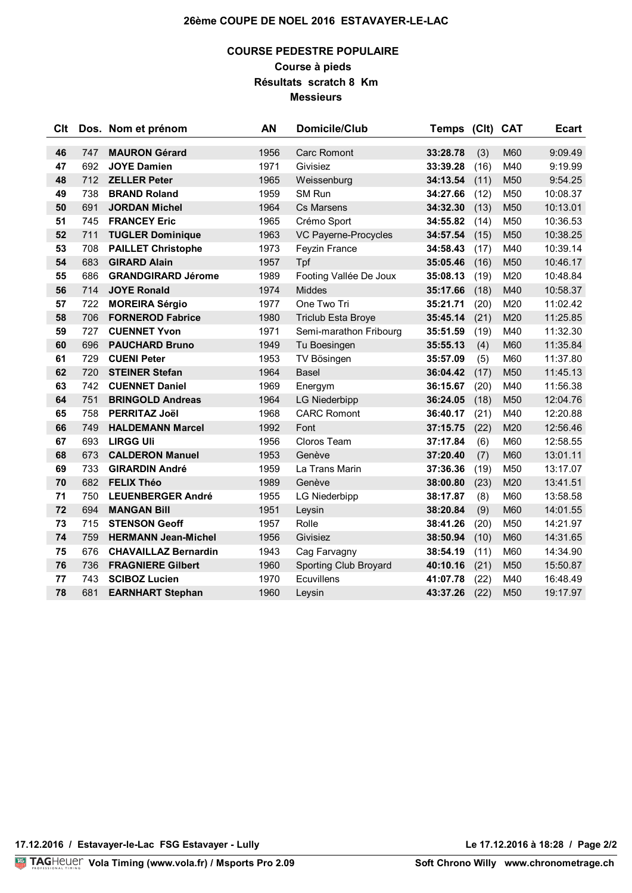### **COURSE PEDESTRE POPULAIRE Course à pieds Résultats scratch 8 Km Messieurs**

| Clt |     | Dos. Nom et prénom          | AN   | Domicile/Club<br><b>Temps</b> |                      | (Clt) CAT    |                 | <b>Ecart</b> |
|-----|-----|-----------------------------|------|-------------------------------|----------------------|--------------|-----------------|--------------|
| 46  | 747 | <b>MAURON Gérard</b>        | 1956 | <b>Carc Romont</b>            | 33:28.78             |              | M60             | 9:09.49      |
| 47  | 692 | <b>JOYE Damien</b>          | 1971 | Givisiez                      |                      | (3)          | M40             | 9:19.99      |
| 48  | 712 | <b>ZELLER Peter</b>         | 1965 |                               | 33:39.28<br>34:13.54 | (16)<br>(11) | M50             | 9:54.25      |
| 49  | 738 | <b>BRAND Roland</b>         | 1959 | Weissenburg<br>SM Run         | 34:27.66             | (12)         | M50             | 10:08.37     |
| 50  | 691 | <b>JORDAN Michel</b>        | 1964 | Cs Marsens                    |                      | (13)         | M50             | 10:13.01     |
| 51  | 745 | <b>FRANCEY Eric</b>         | 1965 | Crémo Sport                   | 34:32.30<br>34:55.82 | (14)         | M50             | 10:36.53     |
| 52  | 711 | <b>TUGLER Dominique</b>     | 1963 | VC Payerne-Procycles          | 34:57.54             | (15)         | M50             | 10:38.25     |
| 53  | 708 | <b>PAILLET Christophe</b>   | 1973 | Feyzin France                 | 34:58.43             | (17)         | M40             | 10:39.14     |
| 54  | 683 | <b>GIRARD Alain</b>         | 1957 | Tpf                           | 35:05.46             | (16)         | M50             | 10:46.17     |
| 55  | 686 | <b>GRANDGIRARD Jérome</b>   | 1989 | Footing Vallée De Joux        | 35:08.13             | (19)         | M20             | 10:48.84     |
| 56  | 714 | <b>JOYE Ronald</b>          | 1974 | <b>Middes</b>                 | 35:17.66             | (18)         | M40             | 10:58.37     |
| 57  | 722 | <b>MOREIRA Sérgio</b>       | 1977 | One Two Tri                   | 35:21.71             | (20)         | M20             | 11:02.42     |
| 58  | 706 | <b>FORNEROD Fabrice</b>     | 1980 | <b>Triclub Esta Broye</b>     | 35:45.14             | (21)         | M20             | 11:25.85     |
| 59  | 727 | <b>CUENNET Yvon</b>         | 1971 | Semi-marathon Fribourg        | 35:51.59             | (19)         | M40             | 11:32.30     |
| 60  | 696 | <b>PAUCHARD Bruno</b>       | 1949 | Tu Boesingen                  | 35:55.13             | (4)          | M60             | 11:35.84     |
| 61  | 729 | <b>CUENI Peter</b>          | 1953 | TV Bösingen                   | 35:57.09             | (5)          | M60             | 11:37.80     |
| 62  | 720 | <b>STEINER Stefan</b>       | 1964 | <b>Basel</b>                  | 36:04.42             | (17)         | M50             | 11:45.13     |
| 63  | 742 | <b>CUENNET Daniel</b>       | 1969 | Energym                       | 36:15.67             | (20)         | M40             | 11:56.38     |
| 64  | 751 | <b>BRINGOLD Andreas</b>     | 1964 | <b>LG Niederbipp</b>          | 36:24.05             | (18)         | M50             | 12:04.76     |
| 65  | 758 | <b>PERRITAZ Joël</b>        | 1968 | <b>CARC Romont</b>            | 36:40.17             | (21)         | M40             | 12:20.88     |
| 66  | 749 | <b>HALDEMANN Marcel</b>     | 1992 | Font                          | 37:15.75             | (22)         | M20             | 12:56.46     |
| 67  | 693 | <b>LIRGG Uli</b>            | 1956 | Cloros Team                   | 37:17.84             | (6)          | M60             | 12:58.55     |
| 68  | 673 | <b>CALDERON Manuel</b>      | 1953 | Genève                        | 37:20.40             | (7)          | M60             | 13:01.11     |
| 69  | 733 | <b>GIRARDIN André</b>       | 1959 | La Trans Marin                | 37:36.36             | (19)         | M50             | 13:17.07     |
| 70  | 682 | <b>FELIX Théo</b>           | 1989 | Genève                        | 38:00.80             | (23)         | M20             | 13:41.51     |
| 71  | 750 | <b>LEUENBERGER André</b>    | 1955 | <b>LG Niederbipp</b>          | 38:17.87             | (8)          | M60             | 13:58.58     |
| 72  | 694 | <b>MANGAN Bill</b>          | 1951 | Leysin                        | 38:20.84             | (9)          | M60             | 14:01.55     |
| 73  | 715 | <b>STENSON Geoff</b>        | 1957 | Rolle                         | 38:41.26             | (20)         | M50             | 14:21.97     |
| 74  | 759 | <b>HERMANN Jean-Michel</b>  | 1956 | Givisiez                      | 38:50.94             | (10)         | M60             | 14:31.65     |
| 75  | 676 | <b>CHAVAILLAZ Bernardin</b> | 1943 | Cag Farvagny                  | 38:54.19             | (11)         | M60             | 14:34.90     |
| 76  | 736 | <b>FRAGNIERE Gilbert</b>    | 1960 | Sporting Club Broyard         | 40:10.16             | (21)         | M <sub>50</sub> | 15:50.87     |
| 77  | 743 | <b>SCIBOZ Lucien</b>        | 1970 | Ecuvillens                    | 41:07.78             | (22)         | M40             | 16:48.49     |
| 78  | 681 | <b>EARNHART Stephan</b>     | 1960 | Leysin                        | 43:37.26             | (22)         | M50             | 19:17.97     |